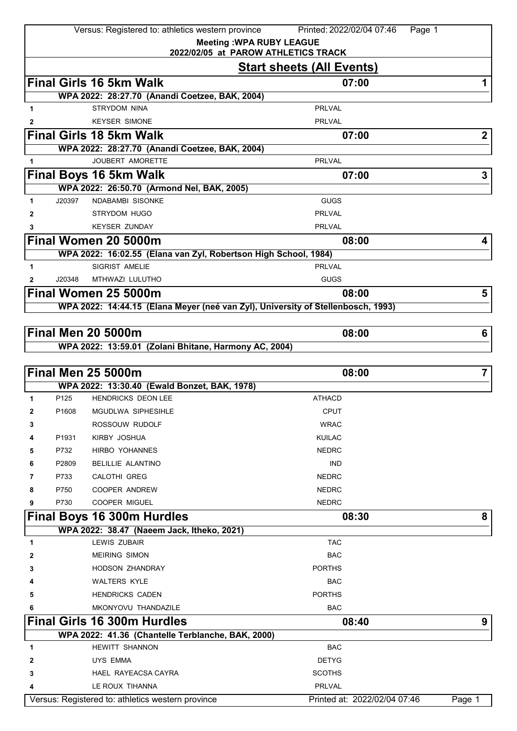|              |                   | Versus: Registered to: athletics western province                                | Printed: 2022/02/04 07:46<br>Page 1 |                |
|--------------|-------------------|----------------------------------------------------------------------------------|-------------------------------------|----------------|
|              |                   | <b>Meeting: WPA RUBY LEAGUE</b>                                                  |                                     |                |
|              |                   | 2022/02/05 at PAROW ATHLETICS TRACK                                              |                                     |                |
|              |                   |                                                                                  | <b>Start sheets (All Events)</b>    |                |
|              |                   | <b>Final Girls 16 5km Walk</b>                                                   | 07:00                               | 1              |
|              |                   | WPA 2022: 28:27.70 (Anandi Coetzee, BAK, 2004)                                   |                                     |                |
| 1            |                   | <b>STRYDOM NINA</b>                                                              | <b>PRLVAL</b>                       |                |
| 2            |                   | <b>KEYSER SIMONE</b>                                                             | <b>PRLVAL</b>                       |                |
|              |                   | <b>Final Girls 18 5km Walk</b>                                                   | 07:00                               | $\mathbf{2}$   |
|              |                   | WPA 2022: 28:27.70 (Anandi Coetzee, BAK, 2004)<br><b>JOUBERT AMORETTE</b>        | <b>PRLVAL</b>                       |                |
| 1            |                   |                                                                                  |                                     |                |
|              |                   | Final Boys 16 5km Walk<br>WPA 2022: 26:50.70 (Armond Nel, BAK, 2005)             | 07:00                               | 3              |
| 1.           | J20397            | <b>NDABAMBI SISONKE</b>                                                          | <b>GUGS</b>                         |                |
| 2            |                   | <b>STRYDOM HUGO</b>                                                              | <b>PRLVAL</b>                       |                |
| 3            |                   | <b>KEYSER ZUNDAY</b>                                                             | <b>PRLVAL</b>                       |                |
|              |                   | Final Women 20 5000m                                                             | 08:00                               | 4              |
|              |                   | WPA 2022: 16:02.55 (Elana van Zyl, Robertson High School, 1984)                  |                                     |                |
| 1            |                   | <b>SIGRIST AMELIE</b>                                                            | <b>PRLVAL</b>                       |                |
| $\mathbf{2}$ | J20348            | MTHWAZI LULUTHO                                                                  | <b>GUGS</b>                         |                |
|              |                   | Final Women 25 5000m                                                             | 08:00                               | 5              |
|              |                   | WPA 2022: 14:44.15 (Elana Meyer (neé van Zyl), University of Stellenbosch, 1993) |                                     |                |
|              |                   |                                                                                  |                                     |                |
|              |                   | <b>Final Men 20 5000m</b>                                                        | 08:00                               | 6              |
|              |                   | WPA 2022: 13:59.01 (Zolani Bhitane, Harmony AC, 2004)                            |                                     |                |
|              |                   |                                                                                  |                                     |                |
|              |                   | Final Men 25 5000m                                                               | 08:00                               | $\overline{7}$ |
|              |                   | WPA 2022: 13:30.40 (Ewald Bonzet, BAK, 1978)                                     |                                     |                |
| 1            | P <sub>125</sub>  | <b>HENDRICKS DEON LEE</b>                                                        | <b>ATHACD</b>                       |                |
| 2            | P <sub>1608</sub> | MGUDLWA SIPHESIHLE                                                               | <b>CPUT</b>                         |                |
| 3            |                   | ROSSOUW RUDOLF                                                                   | <b>WRAC</b>                         |                |
| 4            | P1931             | KIRBY JOSHUA                                                                     | <b>KUILAC</b>                       |                |
| 5            | P732              | HIRBO YOHANNES                                                                   | <b>NEDRC</b>                        |                |
| 6            | P2809             | <b>BELILLIE ALANTINO</b>                                                         | <b>IND</b>                          |                |
| 7            | P733              | <b>CALOTHI GREG</b>                                                              | <b>NEDRC</b>                        |                |
| 8            | P750              | <b>COOPER ANDREW</b>                                                             | <b>NEDRC</b>                        |                |
| 9            | P730              | COOPER MIGUEL                                                                    | <b>NEDRC</b>                        |                |
|              |                   | <b>Final Boys 16 300m Hurdles</b>                                                | 08:30                               | 8              |
|              |                   | WPA 2022: 38.47 (Naeem Jack, Itheko, 2021)                                       |                                     |                |
| 1            |                   | <b>LEWIS ZUBAIR</b>                                                              | <b>TAC</b>                          |                |
| 2            |                   | <b>MEIRING SIMON</b>                                                             | <b>BAC</b>                          |                |
| 3            |                   | <b>HODSON ZHANDRAY</b>                                                           | <b>PORTHS</b>                       |                |
|              |                   | <b>WALTERS KYLE</b>                                                              | <b>BAC</b>                          |                |
| 5            |                   | <b>HENDRICKS CADEN</b>                                                           | <b>PORTHS</b>                       |                |
| 6            |                   | MKONYOVU THANDAZILE                                                              | <b>BAC</b>                          |                |
|              |                   | <b>Final Girls 16 300m Hurdles</b>                                               | 08:40                               | 9              |
|              |                   | WPA 2022: 41.36 (Chantelle Terblanche, BAK, 2000)                                |                                     |                |
| 1            |                   | <b>HEWITT SHANNON</b>                                                            | <b>BAC</b>                          |                |
| 2            |                   | UYS EMMA                                                                         | <b>DETYG</b>                        |                |
| 3            |                   | HAEL RAYEACSA CAYRA                                                              | <b>SCOTHS</b>                       |                |
| 4            |                   | LE ROUX TIHANNA                                                                  | PRLVAL                              |                |
|              |                   | Versus: Registered to: athletics western province                                | Printed at: 2022/02/04 07:46        | Page 1         |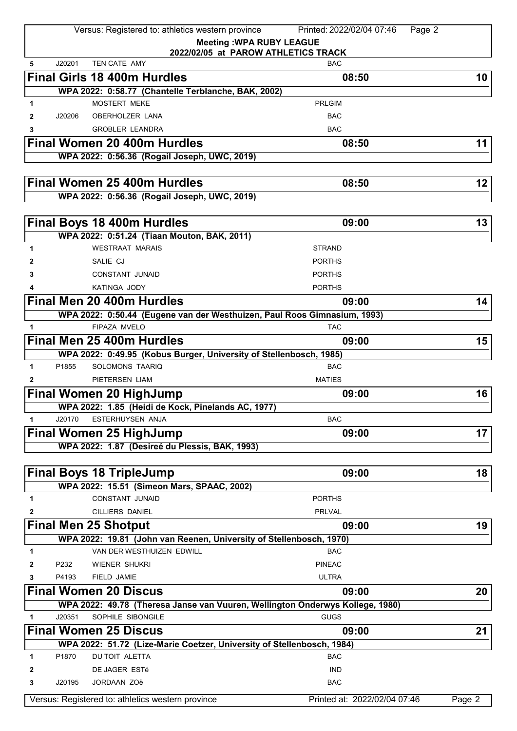|              |        | Versus: Registered to: athletics western province                             | Printed: 2022/02/04 07:46<br>Page 2 |        |
|--------------|--------|-------------------------------------------------------------------------------|-------------------------------------|--------|
|              |        |                                                                               | <b>Meeting: WPA RUBY LEAGUE</b>     |        |
|              |        |                                                                               | 2022/02/05 at PAROW ATHLETICS TRACK |        |
| 5            | J20201 | TEN CATE AMY                                                                  | <b>BAC</b>                          |        |
|              |        | <b>Final Girls 18 400m Hurdles</b>                                            | 08:50                               | 10     |
|              |        | WPA 2022: 0:58.77 (Chantelle Terblanche, BAK, 2002)                           |                                     |        |
| 1.           |        | <b>MOSTERT MEKE</b>                                                           | <b>PRLGIM</b>                       |        |
| $\mathbf{2}$ | J20206 | OBERHOLZER LANA                                                               | <b>BAC</b>                          |        |
| 3            |        | <b>GROBLER LEANDRA</b>                                                        | <b>BAC</b>                          |        |
|              |        | Final Women 20 400m Hurdles                                                   | 08:50                               | 11     |
|              |        | WPA 2022: 0:56.36 (Rogail Joseph, UWC, 2019)                                  |                                     |        |
|              |        |                                                                               |                                     |        |
|              |        | Final Women 25 400m Hurdles                                                   | 08:50                               | 12     |
|              |        | WPA 2022: 0:56.36 (Rogail Joseph, UWC, 2019)                                  |                                     |        |
|              |        |                                                                               |                                     |        |
|              |        |                                                                               | 09:00                               | 13     |
|              |        | <b>Final Boys 18 400m Hurdles</b>                                             |                                     |        |
|              |        | WPA 2022: 0:51.24 (Tiaan Mouton, BAK, 2011)                                   |                                     |        |
| 1            |        | <b>WESTRAAT MARAIS</b>                                                        | <b>STRAND</b>                       |        |
| 2            |        | SALIE CJ                                                                      | <b>PORTHS</b>                       |        |
| 3            |        | <b>CONSTANT JUNAID</b>                                                        | <b>PORTHS</b>                       |        |
| 4            |        | KATINGA JODY                                                                  | <b>PORTHS</b>                       |        |
|              |        | <b>Final Men 20 400m Hurdles</b>                                              | 09:00                               | 14     |
|              |        | WPA 2022: 0:50.44 (Eugene van der Westhuizen, Paul Roos Gimnasium, 1993)      |                                     |        |
| 1.           |        | FIPAZA MVELO                                                                  | <b>TAC</b>                          |        |
|              |        | <b>Final Men 25 400m Hurdles</b>                                              | 09:00                               | 15     |
|              |        | WPA 2022: 0:49.95 (Kobus Burger, University of Stellenbosch, 1985)            |                                     |        |
| 1            | P1855  | SOLOMONS TAARIQ                                                               | <b>BAC</b>                          |        |
| $\mathbf{2}$ |        | PIETERSEN LIAM                                                                | <b>MATIES</b>                       |        |
|              |        | Final Women 20 HighJump                                                       | 09:00                               | 16     |
|              |        | WPA 2022: 1.85 (Heidi de Kock, Pinelands AC, 1977)                            |                                     |        |
| 1            | J20170 | <b>ESTERHUYSEN ANJA</b>                                                       | <b>BAC</b>                          |        |
|              |        | <b>Final Women 25 HighJump</b>                                                | 09:00                               | 17     |
|              |        | WPA 2022: 1.87 (Desireé du Plessis, BAK, 1993)                                |                                     |        |
|              |        |                                                                               |                                     |        |
|              |        | <b>Final Boys 18 TripleJump</b>                                               | 09:00                               | 18     |
|              |        | WPA 2022: 15.51 (Simeon Mars, SPAAC, 2002)                                    |                                     |        |
| 1            |        | <b>CONSTANT JUNAID</b>                                                        | <b>PORTHS</b>                       |        |
|              |        |                                                                               |                                     |        |
| 2            |        | <b>CILLIERS DANIEL</b>                                                        | <b>PRLVAL</b>                       |        |
|              |        | <b>Final Men 25 Shotput</b>                                                   | 09:00                               | 19     |
|              |        | WPA 2022: 19.81 (John van Reenen, University of Stellenbosch, 1970)           |                                     |        |
| 1            |        | VAN DER WESTHUIZEN EDWILL                                                     | <b>BAC</b>                          |        |
| 2            | P232   | WIENER SHUKRI                                                                 | <b>PINEAC</b>                       |        |
| 3            | P4193  | FIELD JAMIE                                                                   | <b>ULTRA</b>                        |        |
|              |        | <b>Final Women 20 Discus</b>                                                  | 09:00                               | 20     |
|              |        | WPA 2022: 49.78 (Theresa Janse van Vuuren, Wellington Onderwys Kollege, 1980) |                                     |        |
| 1            | J20351 | SOPHILE SIBONGILE                                                             | <b>GUGS</b>                         |        |
|              |        | <b>Final Women 25 Discus</b>                                                  | 09:00                               | 21     |
|              |        | WPA 2022: 51.72 (Lize-Marie Coetzer, University of Stellenbosch, 1984)        |                                     |        |
| $\mathbf{1}$ | P1870  | DU TOIT ALETTA                                                                | <b>BAC</b>                          |        |
| 2            |        | DE JAGER ESTé                                                                 | <b>IND</b>                          |        |
| 3            | J20195 | JORDAAN ZOë                                                                   | <b>BAC</b>                          |        |
|              |        |                                                                               |                                     |        |
|              |        | Versus: Registered to: athletics western province                             | Printed at: 2022/02/04 07:46        | Page 2 |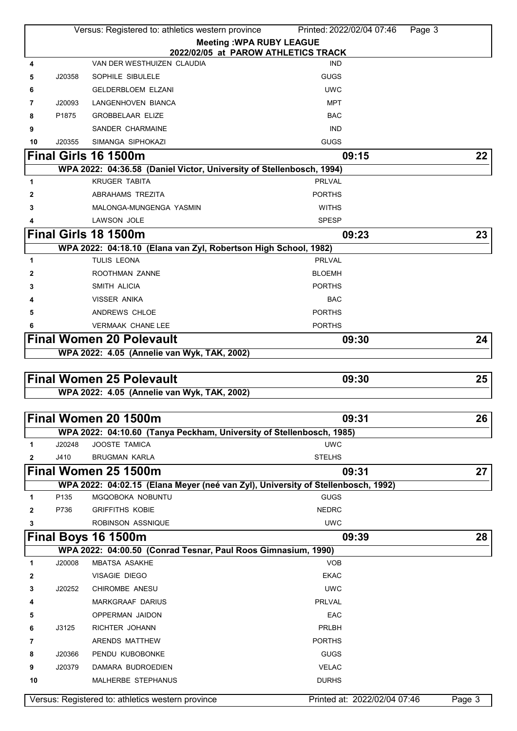|        |        | Versus: Registered to: athletics western province                                | Printed: 2022/02/04 07:46<br>Page 3 |        |
|--------|--------|----------------------------------------------------------------------------------|-------------------------------------|--------|
|        |        | <b>Meeting: WPA RUBY LEAGUE</b>                                                  |                                     |        |
|        |        | 2022/02/05 at PAROW ATHLETICS TRACK                                              |                                     |        |
| 4      |        | VAN DER WESTHUIZEN CLAUDIA                                                       | <b>IND</b>                          |        |
| 5      | J20358 | SOPHILE SIBULELE                                                                 | <b>GUGS</b>                         |        |
| 6      |        | <b>GELDERBLOEM ELZANI</b>                                                        | <b>UWC</b>                          |        |
| 7      | J20093 | LANGENHOVEN BIANCA                                                               | <b>MPT</b>                          |        |
| 8      | P1875  | <b>GROBBELAAR ELIZE</b>                                                          | <b>BAC</b>                          |        |
| 9      |        | SANDER CHARMAINE                                                                 | <b>IND</b>                          |        |
| 10     | J20355 | SIMANGA SIPHOKAZI                                                                | <b>GUGS</b>                         |        |
|        |        | Final Girls 16 1500m                                                             | 09:15                               | 22     |
|        |        | WPA 2022: 04:36.58 (Daniel Victor, University of Stellenbosch, 1994)             |                                     |        |
| 1      |        | <b>KRUGER TABITA</b>                                                             | <b>PRLVAL</b>                       |        |
| 2      |        | ABRAHAMS TREZITA                                                                 | <b>PORTHS</b>                       |        |
| 3      |        | MALONGA-MUNGENGA YASMIN                                                          | <b>WITHS</b>                        |        |
| 4      |        | <b>LAWSON JOLE</b>                                                               | <b>SPESP</b>                        |        |
|        |        | Final Girls 18 1500m                                                             | 09:23                               | 23     |
|        |        | WPA 2022: 04:18.10 (Elana van Zyl, Robertson High School, 1982)                  |                                     |        |
| 1      |        | <b>TULIS LEONA</b>                                                               | <b>PRLVAL</b>                       |        |
| 2      |        | ROOTHMAN ZANNE                                                                   | <b>BLOEMH</b>                       |        |
| 3      |        | SMITH ALICIA                                                                     | <b>PORTHS</b>                       |        |
|        |        | <b>VISSER ANIKA</b>                                                              | <b>BAC</b>                          |        |
| 5      |        | ANDREWS CHLOE                                                                    | <b>PORTHS</b>                       |        |
| 6      |        | <b>VERMAAK CHANE LEE</b>                                                         | <b>PORTHS</b>                       |        |
|        |        | <b>Final Women 20 Polevault</b>                                                  | 09:30                               | 24     |
|        |        | WPA 2022: 4.05 (Annelie van Wyk, TAK, 2002)                                      |                                     |        |
|        |        |                                                                                  |                                     |        |
|        |        |                                                                                  |                                     |        |
|        |        | <b>Final Women 25 Polevault</b>                                                  | 09:30                               | 25     |
|        |        | WPA 2022: 4.05 (Annelie van Wyk, TAK, 2002)                                      |                                     |        |
|        |        |                                                                                  |                                     |        |
|        |        | Final Women 20 1500m                                                             | 09:31                               | 26     |
|        |        | WPA 2022: 04:10.60 (Tanya Peckham, University of Stellenbosch, 1985)             |                                     |        |
| 1      | J20248 | JOOSTE TAMICA                                                                    | <b>UWC</b>                          |        |
| 2      | J410   | <b>BRUGMAN KARLA</b>                                                             | <b>STELHS</b>                       |        |
|        |        | Final Women 25 1500m                                                             | 09:31                               | 27     |
|        |        | WPA 2022: 04:02.15 (Elana Meyer (neé van Zyl), University of Stellenbosch, 1992) |                                     |        |
| 1      | P135   | MGQOBOKA NOBUNTU                                                                 | <b>GUGS</b>                         |        |
| 2      | P736   | <b>GRIFFITHS KOBIE</b>                                                           | <b>NEDRC</b>                        |        |
| 3      |        | ROBINSON ASSNIQUE                                                                | <b>UWC</b>                          |        |
|        |        | Final Boys 16 1500m                                                              | 09:39                               | 28     |
|        | J20008 | WPA 2022: 04:00.50 (Conrad Tesnar, Paul Roos Gimnasium, 1990)                    | <b>VOB</b>                          |        |
| 1      |        | MBATSA ASAKHE                                                                    | <b>EKAC</b>                         |        |
| 2<br>3 | J20252 | VISAGIE DIEGO<br>CHIROMBE ANESU                                                  | <b>UWC</b>                          |        |
| 4      |        | <b>MARKGRAAF DARIUS</b>                                                          | <b>PRLVAL</b>                       |        |
| 5      |        | OPPERMAN JAIDON                                                                  | EAC                                 |        |
| 6      | J3125  | RICHTER JOHANN                                                                   | PRLBH                               |        |
| 7      |        | ARENDS MATTHEW                                                                   | <b>PORTHS</b>                       |        |
| 8      | J20366 | PENDU KUBOBONKE                                                                  | <b>GUGS</b>                         |        |
| 9      | J20379 | DAMARA BUDROEDIEN                                                                | <b>VELAC</b>                        |        |
| 10     |        | MALHERBE STEPHANUS                                                               | <b>DURHS</b>                        |        |
|        |        | Versus: Registered to: athletics western province                                | Printed at: 2022/02/04 07:46        | Page 3 |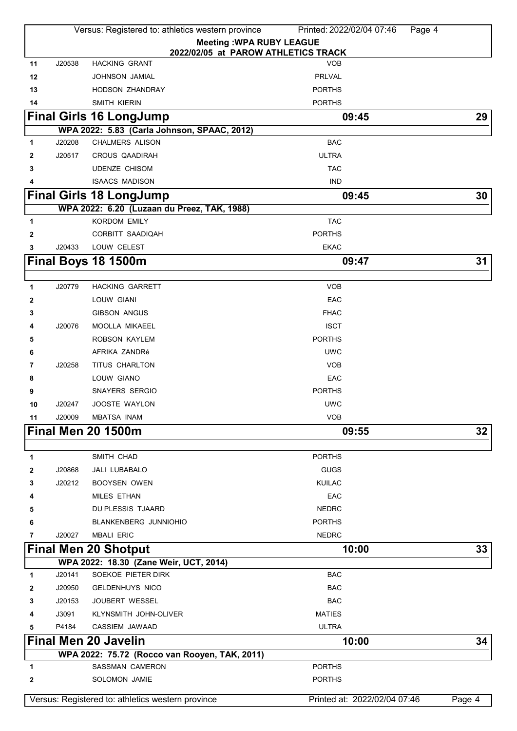| <b>Meeting: WPA RUBY LEAGUE</b><br>2022/02/05 at PAROW ATHLETICS TRACK<br><b>HACKING GRANT</b><br>J20538<br><b>VOB</b><br>11<br>PRLVAL<br>12<br>JOHNSON JAMIAL<br>13<br><b>HODSON ZHANDRAY</b><br><b>PORTHS</b><br><b>PORTHS</b><br>14<br>SMITH KIERIN<br><b>Final Girls 16 LongJump</b><br>29<br>09:45<br>WPA 2022: 5.83 (Carla Johnson, SPAAC, 2012)<br><b>CHALMERS ALISON</b><br>J20208<br><b>BAC</b><br>1<br><b>ULTRA</b><br>J20517<br>CROUS QAADIRAH<br>2<br><b>UDENZE CHISOM</b><br><b>TAC</b><br>3<br><b>ISAACS MADISON</b><br><b>IND</b><br>4<br>30<br><b>Final Girls 18 LongJump</b><br>09:45<br>WPA 2022: 6.20 (Luzaan du Preez, TAK, 1988)<br><b>KORDOM EMILY</b><br><b>TAC</b><br>1<br><b>PORTHS</b><br>CORBITT SAADIQAH<br>$\mathbf{2}$<br>LOUW CELEST<br>3<br>J20433<br><b>EKAC</b><br>Final Boys 18 1500m<br>31<br>09:47<br>J20779<br><b>HACKING GARRETT</b><br><b>VOB</b><br>1<br>EAC<br>LOUW GIANI<br>2<br><b>GIBSON ANGUS</b><br><b>FHAC</b><br>3<br><b>ISCT</b><br>J20076<br>MOOLLA MIKAEEL<br>4<br>ROBSON KAYLEM<br><b>PORTHS</b><br>5<br>AFRIKA ZANDRé<br><b>UWC</b><br>6<br>TITUS CHARLTON<br><b>VOB</b><br>J20258<br>7<br>EAC<br>8<br>LOUW GIANO<br><b>SNAYERS SERGIO</b><br><b>PORTHS</b><br>9<br><b>UWC</b><br>J20247<br><b>JOOSTE WAYLON</b><br>10<br>J20009<br><b>MBATSA INAM</b><br><b>VOB</b><br>11<br><b>Final Men 20 1500m</b><br>32<br>09:55<br>SMITH CHAD<br><b>PORTHS</b><br>1<br>JALI LUBABALO<br><b>GUGS</b><br>J20868<br>2<br>J20212<br><b>KUILAC</b><br><b>BOOYSEN OWEN</b><br>3<br><b>MILES ETHAN</b><br>EAC<br>4<br>DU PLESSIS TJAARD<br><b>NEDRC</b><br>5<br>BLANKENBERG JUNNIOHIO<br><b>PORTHS</b><br>6<br><b>NEDRC</b><br>J20027<br><b>MBALI ERIC</b><br>7<br><b>Final Men 20 Shotput</b><br>10:00<br>33<br>WPA 2022: 18.30 (Zane Weir, UCT, 2014)<br>J20141<br>SOEKOE PIETER DIRK<br><b>BAC</b><br>1<br>J20950<br><b>BAC</b><br><b>GELDENHUYS NICO</b><br>2<br><b>BAC</b><br>J20153<br><b>JOUBERT WESSEL</b><br>3<br>J3091<br><b>MATIES</b><br>KLYNSMITH JOHN-OLIVER<br>4<br>CASSIEM JAWAAD<br><b>ULTRA</b><br>5<br>P4184<br><b>Final Men 20 Javelin</b><br>34<br>10:00<br>WPA 2022: 75.72 (Rocco van Rooyen, TAK, 2011)<br>SASSMAN CAMERON<br><b>PORTHS</b><br>1<br>SOLOMON JAMIE<br><b>PORTHS</b><br>$\mathbf{2}$<br>Versus: Registered to: athletics western province<br>Printed at: 2022/02/04 07:46<br>Page 4 | Versus: Registered to: athletics western province<br>Printed: 2022/02/04 07:46<br>Page 4 |  |  |  |  |  |
|----------------------------------------------------------------------------------------------------------------------------------------------------------------------------------------------------------------------------------------------------------------------------------------------------------------------------------------------------------------------------------------------------------------------------------------------------------------------------------------------------------------------------------------------------------------------------------------------------------------------------------------------------------------------------------------------------------------------------------------------------------------------------------------------------------------------------------------------------------------------------------------------------------------------------------------------------------------------------------------------------------------------------------------------------------------------------------------------------------------------------------------------------------------------------------------------------------------------------------------------------------------------------------------------------------------------------------------------------------------------------------------------------------------------------------------------------------------------------------------------------------------------------------------------------------------------------------------------------------------------------------------------------------------------------------------------------------------------------------------------------------------------------------------------------------------------------------------------------------------------------------------------------------------------------------------------------------------------------------------------------------------------------------------------------------------------------------------------------------------------------------------------------------------------------------------------------------------------------------------------------------------------------------------------------------------------------------------------------------------|------------------------------------------------------------------------------------------|--|--|--|--|--|
|                                                                                                                                                                                                                                                                                                                                                                                                                                                                                                                                                                                                                                                                                                                                                                                                                                                                                                                                                                                                                                                                                                                                                                                                                                                                                                                                                                                                                                                                                                                                                                                                                                                                                                                                                                                                                                                                                                                                                                                                                                                                                                                                                                                                                                                                                                                                                                |                                                                                          |  |  |  |  |  |
|                                                                                                                                                                                                                                                                                                                                                                                                                                                                                                                                                                                                                                                                                                                                                                                                                                                                                                                                                                                                                                                                                                                                                                                                                                                                                                                                                                                                                                                                                                                                                                                                                                                                                                                                                                                                                                                                                                                                                                                                                                                                                                                                                                                                                                                                                                                                                                |                                                                                          |  |  |  |  |  |
|                                                                                                                                                                                                                                                                                                                                                                                                                                                                                                                                                                                                                                                                                                                                                                                                                                                                                                                                                                                                                                                                                                                                                                                                                                                                                                                                                                                                                                                                                                                                                                                                                                                                                                                                                                                                                                                                                                                                                                                                                                                                                                                                                                                                                                                                                                                                                                |                                                                                          |  |  |  |  |  |
|                                                                                                                                                                                                                                                                                                                                                                                                                                                                                                                                                                                                                                                                                                                                                                                                                                                                                                                                                                                                                                                                                                                                                                                                                                                                                                                                                                                                                                                                                                                                                                                                                                                                                                                                                                                                                                                                                                                                                                                                                                                                                                                                                                                                                                                                                                                                                                |                                                                                          |  |  |  |  |  |
|                                                                                                                                                                                                                                                                                                                                                                                                                                                                                                                                                                                                                                                                                                                                                                                                                                                                                                                                                                                                                                                                                                                                                                                                                                                                                                                                                                                                                                                                                                                                                                                                                                                                                                                                                                                                                                                                                                                                                                                                                                                                                                                                                                                                                                                                                                                                                                |                                                                                          |  |  |  |  |  |
|                                                                                                                                                                                                                                                                                                                                                                                                                                                                                                                                                                                                                                                                                                                                                                                                                                                                                                                                                                                                                                                                                                                                                                                                                                                                                                                                                                                                                                                                                                                                                                                                                                                                                                                                                                                                                                                                                                                                                                                                                                                                                                                                                                                                                                                                                                                                                                |                                                                                          |  |  |  |  |  |
|                                                                                                                                                                                                                                                                                                                                                                                                                                                                                                                                                                                                                                                                                                                                                                                                                                                                                                                                                                                                                                                                                                                                                                                                                                                                                                                                                                                                                                                                                                                                                                                                                                                                                                                                                                                                                                                                                                                                                                                                                                                                                                                                                                                                                                                                                                                                                                |                                                                                          |  |  |  |  |  |
|                                                                                                                                                                                                                                                                                                                                                                                                                                                                                                                                                                                                                                                                                                                                                                                                                                                                                                                                                                                                                                                                                                                                                                                                                                                                                                                                                                                                                                                                                                                                                                                                                                                                                                                                                                                                                                                                                                                                                                                                                                                                                                                                                                                                                                                                                                                                                                |                                                                                          |  |  |  |  |  |
|                                                                                                                                                                                                                                                                                                                                                                                                                                                                                                                                                                                                                                                                                                                                                                                                                                                                                                                                                                                                                                                                                                                                                                                                                                                                                                                                                                                                                                                                                                                                                                                                                                                                                                                                                                                                                                                                                                                                                                                                                                                                                                                                                                                                                                                                                                                                                                |                                                                                          |  |  |  |  |  |
|                                                                                                                                                                                                                                                                                                                                                                                                                                                                                                                                                                                                                                                                                                                                                                                                                                                                                                                                                                                                                                                                                                                                                                                                                                                                                                                                                                                                                                                                                                                                                                                                                                                                                                                                                                                                                                                                                                                                                                                                                                                                                                                                                                                                                                                                                                                                                                |                                                                                          |  |  |  |  |  |
|                                                                                                                                                                                                                                                                                                                                                                                                                                                                                                                                                                                                                                                                                                                                                                                                                                                                                                                                                                                                                                                                                                                                                                                                                                                                                                                                                                                                                                                                                                                                                                                                                                                                                                                                                                                                                                                                                                                                                                                                                                                                                                                                                                                                                                                                                                                                                                |                                                                                          |  |  |  |  |  |
|                                                                                                                                                                                                                                                                                                                                                                                                                                                                                                                                                                                                                                                                                                                                                                                                                                                                                                                                                                                                                                                                                                                                                                                                                                                                                                                                                                                                                                                                                                                                                                                                                                                                                                                                                                                                                                                                                                                                                                                                                                                                                                                                                                                                                                                                                                                                                                |                                                                                          |  |  |  |  |  |
|                                                                                                                                                                                                                                                                                                                                                                                                                                                                                                                                                                                                                                                                                                                                                                                                                                                                                                                                                                                                                                                                                                                                                                                                                                                                                                                                                                                                                                                                                                                                                                                                                                                                                                                                                                                                                                                                                                                                                                                                                                                                                                                                                                                                                                                                                                                                                                |                                                                                          |  |  |  |  |  |
|                                                                                                                                                                                                                                                                                                                                                                                                                                                                                                                                                                                                                                                                                                                                                                                                                                                                                                                                                                                                                                                                                                                                                                                                                                                                                                                                                                                                                                                                                                                                                                                                                                                                                                                                                                                                                                                                                                                                                                                                                                                                                                                                                                                                                                                                                                                                                                |                                                                                          |  |  |  |  |  |
|                                                                                                                                                                                                                                                                                                                                                                                                                                                                                                                                                                                                                                                                                                                                                                                                                                                                                                                                                                                                                                                                                                                                                                                                                                                                                                                                                                                                                                                                                                                                                                                                                                                                                                                                                                                                                                                                                                                                                                                                                                                                                                                                                                                                                                                                                                                                                                |                                                                                          |  |  |  |  |  |
|                                                                                                                                                                                                                                                                                                                                                                                                                                                                                                                                                                                                                                                                                                                                                                                                                                                                                                                                                                                                                                                                                                                                                                                                                                                                                                                                                                                                                                                                                                                                                                                                                                                                                                                                                                                                                                                                                                                                                                                                                                                                                                                                                                                                                                                                                                                                                                |                                                                                          |  |  |  |  |  |
|                                                                                                                                                                                                                                                                                                                                                                                                                                                                                                                                                                                                                                                                                                                                                                                                                                                                                                                                                                                                                                                                                                                                                                                                                                                                                                                                                                                                                                                                                                                                                                                                                                                                                                                                                                                                                                                                                                                                                                                                                                                                                                                                                                                                                                                                                                                                                                |                                                                                          |  |  |  |  |  |
|                                                                                                                                                                                                                                                                                                                                                                                                                                                                                                                                                                                                                                                                                                                                                                                                                                                                                                                                                                                                                                                                                                                                                                                                                                                                                                                                                                                                                                                                                                                                                                                                                                                                                                                                                                                                                                                                                                                                                                                                                                                                                                                                                                                                                                                                                                                                                                |                                                                                          |  |  |  |  |  |
|                                                                                                                                                                                                                                                                                                                                                                                                                                                                                                                                                                                                                                                                                                                                                                                                                                                                                                                                                                                                                                                                                                                                                                                                                                                                                                                                                                                                                                                                                                                                                                                                                                                                                                                                                                                                                                                                                                                                                                                                                                                                                                                                                                                                                                                                                                                                                                |                                                                                          |  |  |  |  |  |
|                                                                                                                                                                                                                                                                                                                                                                                                                                                                                                                                                                                                                                                                                                                                                                                                                                                                                                                                                                                                                                                                                                                                                                                                                                                                                                                                                                                                                                                                                                                                                                                                                                                                                                                                                                                                                                                                                                                                                                                                                                                                                                                                                                                                                                                                                                                                                                |                                                                                          |  |  |  |  |  |
|                                                                                                                                                                                                                                                                                                                                                                                                                                                                                                                                                                                                                                                                                                                                                                                                                                                                                                                                                                                                                                                                                                                                                                                                                                                                                                                                                                                                                                                                                                                                                                                                                                                                                                                                                                                                                                                                                                                                                                                                                                                                                                                                                                                                                                                                                                                                                                |                                                                                          |  |  |  |  |  |
|                                                                                                                                                                                                                                                                                                                                                                                                                                                                                                                                                                                                                                                                                                                                                                                                                                                                                                                                                                                                                                                                                                                                                                                                                                                                                                                                                                                                                                                                                                                                                                                                                                                                                                                                                                                                                                                                                                                                                                                                                                                                                                                                                                                                                                                                                                                                                                |                                                                                          |  |  |  |  |  |
|                                                                                                                                                                                                                                                                                                                                                                                                                                                                                                                                                                                                                                                                                                                                                                                                                                                                                                                                                                                                                                                                                                                                                                                                                                                                                                                                                                                                                                                                                                                                                                                                                                                                                                                                                                                                                                                                                                                                                                                                                                                                                                                                                                                                                                                                                                                                                                |                                                                                          |  |  |  |  |  |
|                                                                                                                                                                                                                                                                                                                                                                                                                                                                                                                                                                                                                                                                                                                                                                                                                                                                                                                                                                                                                                                                                                                                                                                                                                                                                                                                                                                                                                                                                                                                                                                                                                                                                                                                                                                                                                                                                                                                                                                                                                                                                                                                                                                                                                                                                                                                                                |                                                                                          |  |  |  |  |  |
|                                                                                                                                                                                                                                                                                                                                                                                                                                                                                                                                                                                                                                                                                                                                                                                                                                                                                                                                                                                                                                                                                                                                                                                                                                                                                                                                                                                                                                                                                                                                                                                                                                                                                                                                                                                                                                                                                                                                                                                                                                                                                                                                                                                                                                                                                                                                                                |                                                                                          |  |  |  |  |  |
|                                                                                                                                                                                                                                                                                                                                                                                                                                                                                                                                                                                                                                                                                                                                                                                                                                                                                                                                                                                                                                                                                                                                                                                                                                                                                                                                                                                                                                                                                                                                                                                                                                                                                                                                                                                                                                                                                                                                                                                                                                                                                                                                                                                                                                                                                                                                                                |                                                                                          |  |  |  |  |  |
|                                                                                                                                                                                                                                                                                                                                                                                                                                                                                                                                                                                                                                                                                                                                                                                                                                                                                                                                                                                                                                                                                                                                                                                                                                                                                                                                                                                                                                                                                                                                                                                                                                                                                                                                                                                                                                                                                                                                                                                                                                                                                                                                                                                                                                                                                                                                                                |                                                                                          |  |  |  |  |  |
|                                                                                                                                                                                                                                                                                                                                                                                                                                                                                                                                                                                                                                                                                                                                                                                                                                                                                                                                                                                                                                                                                                                                                                                                                                                                                                                                                                                                                                                                                                                                                                                                                                                                                                                                                                                                                                                                                                                                                                                                                                                                                                                                                                                                                                                                                                                                                                |                                                                                          |  |  |  |  |  |
|                                                                                                                                                                                                                                                                                                                                                                                                                                                                                                                                                                                                                                                                                                                                                                                                                                                                                                                                                                                                                                                                                                                                                                                                                                                                                                                                                                                                                                                                                                                                                                                                                                                                                                                                                                                                                                                                                                                                                                                                                                                                                                                                                                                                                                                                                                                                                                |                                                                                          |  |  |  |  |  |
|                                                                                                                                                                                                                                                                                                                                                                                                                                                                                                                                                                                                                                                                                                                                                                                                                                                                                                                                                                                                                                                                                                                                                                                                                                                                                                                                                                                                                                                                                                                                                                                                                                                                                                                                                                                                                                                                                                                                                                                                                                                                                                                                                                                                                                                                                                                                                                |                                                                                          |  |  |  |  |  |
|                                                                                                                                                                                                                                                                                                                                                                                                                                                                                                                                                                                                                                                                                                                                                                                                                                                                                                                                                                                                                                                                                                                                                                                                                                                                                                                                                                                                                                                                                                                                                                                                                                                                                                                                                                                                                                                                                                                                                                                                                                                                                                                                                                                                                                                                                                                                                                |                                                                                          |  |  |  |  |  |
|                                                                                                                                                                                                                                                                                                                                                                                                                                                                                                                                                                                                                                                                                                                                                                                                                                                                                                                                                                                                                                                                                                                                                                                                                                                                                                                                                                                                                                                                                                                                                                                                                                                                                                                                                                                                                                                                                                                                                                                                                                                                                                                                                                                                                                                                                                                                                                |                                                                                          |  |  |  |  |  |
|                                                                                                                                                                                                                                                                                                                                                                                                                                                                                                                                                                                                                                                                                                                                                                                                                                                                                                                                                                                                                                                                                                                                                                                                                                                                                                                                                                                                                                                                                                                                                                                                                                                                                                                                                                                                                                                                                                                                                                                                                                                                                                                                                                                                                                                                                                                                                                |                                                                                          |  |  |  |  |  |
|                                                                                                                                                                                                                                                                                                                                                                                                                                                                                                                                                                                                                                                                                                                                                                                                                                                                                                                                                                                                                                                                                                                                                                                                                                                                                                                                                                                                                                                                                                                                                                                                                                                                                                                                                                                                                                                                                                                                                                                                                                                                                                                                                                                                                                                                                                                                                                |                                                                                          |  |  |  |  |  |
|                                                                                                                                                                                                                                                                                                                                                                                                                                                                                                                                                                                                                                                                                                                                                                                                                                                                                                                                                                                                                                                                                                                                                                                                                                                                                                                                                                                                                                                                                                                                                                                                                                                                                                                                                                                                                                                                                                                                                                                                                                                                                                                                                                                                                                                                                                                                                                |                                                                                          |  |  |  |  |  |
|                                                                                                                                                                                                                                                                                                                                                                                                                                                                                                                                                                                                                                                                                                                                                                                                                                                                                                                                                                                                                                                                                                                                                                                                                                                                                                                                                                                                                                                                                                                                                                                                                                                                                                                                                                                                                                                                                                                                                                                                                                                                                                                                                                                                                                                                                                                                                                |                                                                                          |  |  |  |  |  |
|                                                                                                                                                                                                                                                                                                                                                                                                                                                                                                                                                                                                                                                                                                                                                                                                                                                                                                                                                                                                                                                                                                                                                                                                                                                                                                                                                                                                                                                                                                                                                                                                                                                                                                                                                                                                                                                                                                                                                                                                                                                                                                                                                                                                                                                                                                                                                                |                                                                                          |  |  |  |  |  |
|                                                                                                                                                                                                                                                                                                                                                                                                                                                                                                                                                                                                                                                                                                                                                                                                                                                                                                                                                                                                                                                                                                                                                                                                                                                                                                                                                                                                                                                                                                                                                                                                                                                                                                                                                                                                                                                                                                                                                                                                                                                                                                                                                                                                                                                                                                                                                                |                                                                                          |  |  |  |  |  |
|                                                                                                                                                                                                                                                                                                                                                                                                                                                                                                                                                                                                                                                                                                                                                                                                                                                                                                                                                                                                                                                                                                                                                                                                                                                                                                                                                                                                                                                                                                                                                                                                                                                                                                                                                                                                                                                                                                                                                                                                                                                                                                                                                                                                                                                                                                                                                                |                                                                                          |  |  |  |  |  |
|                                                                                                                                                                                                                                                                                                                                                                                                                                                                                                                                                                                                                                                                                                                                                                                                                                                                                                                                                                                                                                                                                                                                                                                                                                                                                                                                                                                                                                                                                                                                                                                                                                                                                                                                                                                                                                                                                                                                                                                                                                                                                                                                                                                                                                                                                                                                                                |                                                                                          |  |  |  |  |  |
|                                                                                                                                                                                                                                                                                                                                                                                                                                                                                                                                                                                                                                                                                                                                                                                                                                                                                                                                                                                                                                                                                                                                                                                                                                                                                                                                                                                                                                                                                                                                                                                                                                                                                                                                                                                                                                                                                                                                                                                                                                                                                                                                                                                                                                                                                                                                                                |                                                                                          |  |  |  |  |  |
|                                                                                                                                                                                                                                                                                                                                                                                                                                                                                                                                                                                                                                                                                                                                                                                                                                                                                                                                                                                                                                                                                                                                                                                                                                                                                                                                                                                                                                                                                                                                                                                                                                                                                                                                                                                                                                                                                                                                                                                                                                                                                                                                                                                                                                                                                                                                                                |                                                                                          |  |  |  |  |  |
|                                                                                                                                                                                                                                                                                                                                                                                                                                                                                                                                                                                                                                                                                                                                                                                                                                                                                                                                                                                                                                                                                                                                                                                                                                                                                                                                                                                                                                                                                                                                                                                                                                                                                                                                                                                                                                                                                                                                                                                                                                                                                                                                                                                                                                                                                                                                                                |                                                                                          |  |  |  |  |  |
|                                                                                                                                                                                                                                                                                                                                                                                                                                                                                                                                                                                                                                                                                                                                                                                                                                                                                                                                                                                                                                                                                                                                                                                                                                                                                                                                                                                                                                                                                                                                                                                                                                                                                                                                                                                                                                                                                                                                                                                                                                                                                                                                                                                                                                                                                                                                                                |                                                                                          |  |  |  |  |  |
|                                                                                                                                                                                                                                                                                                                                                                                                                                                                                                                                                                                                                                                                                                                                                                                                                                                                                                                                                                                                                                                                                                                                                                                                                                                                                                                                                                                                                                                                                                                                                                                                                                                                                                                                                                                                                                                                                                                                                                                                                                                                                                                                                                                                                                                                                                                                                                |                                                                                          |  |  |  |  |  |
|                                                                                                                                                                                                                                                                                                                                                                                                                                                                                                                                                                                                                                                                                                                                                                                                                                                                                                                                                                                                                                                                                                                                                                                                                                                                                                                                                                                                                                                                                                                                                                                                                                                                                                                                                                                                                                                                                                                                                                                                                                                                                                                                                                                                                                                                                                                                                                |                                                                                          |  |  |  |  |  |
|                                                                                                                                                                                                                                                                                                                                                                                                                                                                                                                                                                                                                                                                                                                                                                                                                                                                                                                                                                                                                                                                                                                                                                                                                                                                                                                                                                                                                                                                                                                                                                                                                                                                                                                                                                                                                                                                                                                                                                                                                                                                                                                                                                                                                                                                                                                                                                |                                                                                          |  |  |  |  |  |
|                                                                                                                                                                                                                                                                                                                                                                                                                                                                                                                                                                                                                                                                                                                                                                                                                                                                                                                                                                                                                                                                                                                                                                                                                                                                                                                                                                                                                                                                                                                                                                                                                                                                                                                                                                                                                                                                                                                                                                                                                                                                                                                                                                                                                                                                                                                                                                |                                                                                          |  |  |  |  |  |
|                                                                                                                                                                                                                                                                                                                                                                                                                                                                                                                                                                                                                                                                                                                                                                                                                                                                                                                                                                                                                                                                                                                                                                                                                                                                                                                                                                                                                                                                                                                                                                                                                                                                                                                                                                                                                                                                                                                                                                                                                                                                                                                                                                                                                                                                                                                                                                |                                                                                          |  |  |  |  |  |
|                                                                                                                                                                                                                                                                                                                                                                                                                                                                                                                                                                                                                                                                                                                                                                                                                                                                                                                                                                                                                                                                                                                                                                                                                                                                                                                                                                                                                                                                                                                                                                                                                                                                                                                                                                                                                                                                                                                                                                                                                                                                                                                                                                                                                                                                                                                                                                |                                                                                          |  |  |  |  |  |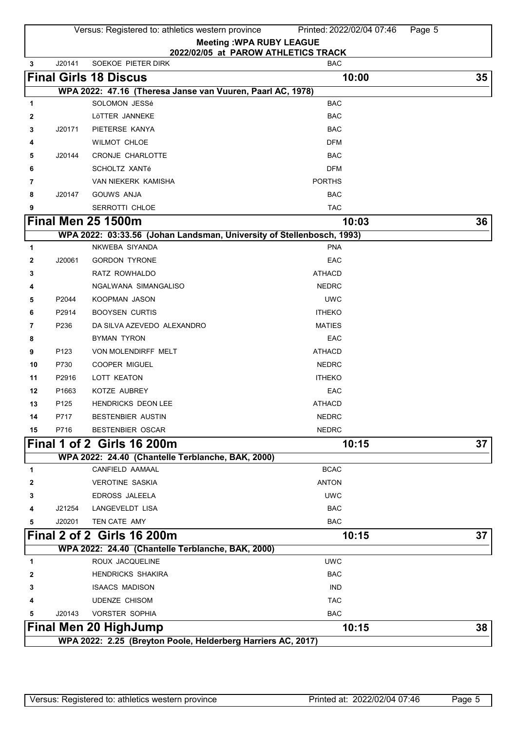|        |                                                              | Versus: Registered to: athletics western province                     | Printed: 2022/02/04 07:46<br>Page 5                                    |    |  |  |
|--------|--------------------------------------------------------------|-----------------------------------------------------------------------|------------------------------------------------------------------------|----|--|--|
|        |                                                              |                                                                       | <b>Meeting: WPA RUBY LEAGUE</b><br>2022/02/05 at PAROW ATHLETICS TRACK |    |  |  |
| 3      | J20141                                                       | SOEKOE PIETER DIRK                                                    | <b>BAC</b>                                                             |    |  |  |
|        |                                                              | <b>Final Girls 18 Discus</b>                                          | 10:00                                                                  | 35 |  |  |
|        |                                                              | WPA 2022: 47.16 (Theresa Janse van Vuuren, Paarl AC, 1978)            |                                                                        |    |  |  |
| 1      |                                                              | SOLOMON JESSé                                                         | <b>BAC</b>                                                             |    |  |  |
| 2      |                                                              | LöTTER JANNEKE                                                        | <b>BAC</b>                                                             |    |  |  |
| 3      | J20171                                                       | PIETERSE KANYA                                                        | <b>BAC</b>                                                             |    |  |  |
| 4      |                                                              | <b>WILMOT CHLOE</b>                                                   | <b>DFM</b>                                                             |    |  |  |
| 5      | J20144                                                       | CRONJE CHARLOTTE                                                      | <b>BAC</b>                                                             |    |  |  |
| 6      |                                                              | SCHOLTZ XANTé                                                         | <b>DFM</b>                                                             |    |  |  |
| 7      |                                                              | VAN NIEKERK KAMISHA                                                   | <b>PORTHS</b>                                                          |    |  |  |
| 8      | J20147                                                       | <b>GOUWS ANJA</b>                                                     | <b>BAC</b>                                                             |    |  |  |
| 9      |                                                              | SERROTTI CHLOE                                                        | <b>TAC</b>                                                             |    |  |  |
|        |                                                              | <b>Final Men 25 1500m</b>                                             | 10:03                                                                  | 36 |  |  |
|        |                                                              | WPA 2022: 03:33.56 (Johan Landsman, University of Stellenbosch, 1993) |                                                                        |    |  |  |
| 1      |                                                              | NKWEBA SIYANDA                                                        | <b>PNA</b>                                                             |    |  |  |
| 2      | J20061                                                       | <b>GORDON TYRONE</b>                                                  | EAC                                                                    |    |  |  |
| 3      |                                                              | RATZ ROWHALDO                                                         | <b>ATHACD</b>                                                          |    |  |  |
| 4      |                                                              | NGALWANA SIMANGALISO                                                  | <b>NEDRC</b>                                                           |    |  |  |
| 5      | P2044                                                        | KOOPMAN JASON                                                         | <b>UWC</b>                                                             |    |  |  |
| 6<br>7 | P2914<br>P236                                                | <b>BOOYSEN CURTIS</b><br>DA SILVA AZEVEDO ALEXANDRO                   | <b>ITHEKO</b><br><b>MATIES</b>                                         |    |  |  |
| 8      |                                                              | <b>BYMAN TYRON</b>                                                    | EAC                                                                    |    |  |  |
| 9      | P123                                                         | VON MOLENDIRFF MELT                                                   | <b>ATHACD</b>                                                          |    |  |  |
| 10     | P730                                                         | <b>COOPER MIGUEL</b>                                                  | <b>NEDRC</b>                                                           |    |  |  |
| 11     | P2916                                                        | LOTT KEATON                                                           | <b>ITHEKO</b>                                                          |    |  |  |
| 12     | P1663                                                        | KOTZE AUBREY                                                          | EAC                                                                    |    |  |  |
| 13     | P <sub>125</sub>                                             | HENDRICKS DEON LEE                                                    | <b>ATHACD</b>                                                          |    |  |  |
| 14     | P717                                                         | BESTENBIER AUSTIN                                                     | <b>NEDRC</b>                                                           |    |  |  |
| 15     | P716                                                         | <b>BESTENBIER OSCAR</b>                                               | <b>NEDRC</b>                                                           |    |  |  |
|        |                                                              | <b>Final 1 of 2 Girls 16 200m</b>                                     | 10:15                                                                  | 37 |  |  |
|        |                                                              | WPA 2022: 24.40 (Chantelle Terblanche, BAK, 2000)                     |                                                                        |    |  |  |
| 1      |                                                              | CANFIELD AAMAAL                                                       | <b>BCAC</b>                                                            |    |  |  |
| 2      |                                                              | <b>VEROTINE SASKIA</b>                                                | <b>ANTON</b>                                                           |    |  |  |
| 3      |                                                              | EDROSS JALEELA                                                        | <b>UWC</b>                                                             |    |  |  |
| 4      | J21254                                                       | LANGEVELDT LISA                                                       | <b>BAC</b>                                                             |    |  |  |
| 5      | J20201                                                       | TEN CATE AMY                                                          | <b>BAC</b>                                                             |    |  |  |
|        |                                                              | Final 2 of 2 Girls 16 200m                                            | 10:15                                                                  | 37 |  |  |
|        |                                                              | WPA 2022: 24.40 (Chantelle Terblanche, BAK, 2000)                     |                                                                        |    |  |  |
| 1      |                                                              | ROUX JACQUELINE                                                       | <b>UWC</b>                                                             |    |  |  |
| 2      |                                                              | <b>HENDRICKS SHAKIRA</b>                                              | <b>BAC</b>                                                             |    |  |  |
| 3      |                                                              | <b>ISAACS MADISON</b>                                                 | <b>IND</b>                                                             |    |  |  |
| 4      |                                                              | <b>UDENZE CHISOM</b>                                                  | <b>TAC</b>                                                             |    |  |  |
| 5      | J20143                                                       | <b>VORSTER SOPHIA</b>                                                 | <b>BAC</b>                                                             |    |  |  |
|        |                                                              | <b>Final Men 20 HighJump</b>                                          | 10:15                                                                  | 38 |  |  |
|        | WPA 2022: 2.25 (Breyton Poole, Helderberg Harriers AC, 2017) |                                                                       |                                                                        |    |  |  |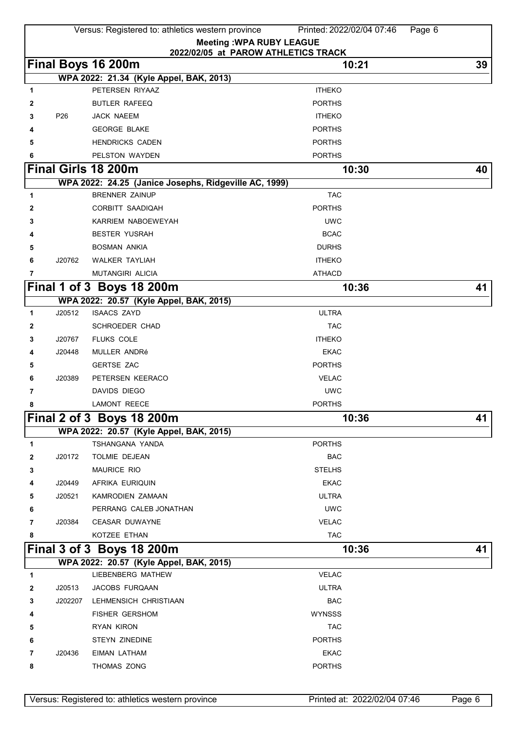|   |         | Versus: Registered to: athletics western province                              | Printed: 2022/02/04 07:46<br>Page 6 |    |
|---|---------|--------------------------------------------------------------------------------|-------------------------------------|----|
|   |         |                                                                                | <b>Meeting: WPA RUBY LEAGUE</b>     |    |
|   |         |                                                                                | 2022/02/05 at PAROW ATHLETICS TRACK |    |
|   |         | Final Boys 16 200m                                                             | 10:21                               | 39 |
|   |         | WPA 2022: 21.34 (Kyle Appel, BAK, 2013)<br>PETERSEN RIYAAZ                     | <b>ITHEKO</b>                       |    |
| 1 |         | <b>BUTLER RAFEEQ</b>                                                           | <b>PORTHS</b>                       |    |
| 2 | P26     | JACK NAEEM                                                                     | <b>ITHEKO</b>                       |    |
| 3 |         | <b>GEORGE BLAKE</b>                                                            | <b>PORTHS</b>                       |    |
| 4 |         |                                                                                | <b>PORTHS</b>                       |    |
| 5 |         | <b>HENDRICKS CADEN</b><br>PELSTON WAYDEN                                       |                                     |    |
| 6 |         |                                                                                | <b>PORTHS</b>                       |    |
|   |         | <b>Final Girls 18 200m</b>                                                     | 10:30                               | 40 |
|   |         | WPA 2022: 24.25 (Janice Josephs, Ridgeville AC, 1999)<br><b>BRENNER ZAINUP</b> | <b>TAC</b>                          |    |
| 1 |         |                                                                                |                                     |    |
| 2 |         | CORBITT SAADIQAH                                                               | <b>PORTHS</b>                       |    |
| 3 |         | KARRIEM NABOEWEYAH                                                             | <b>UWC</b>                          |    |
| 4 |         | <b>BESTER YUSRAH</b>                                                           | <b>BCAC</b>                         |    |
| 5 |         | <b>BOSMAN ANKIA</b>                                                            | <b>DURHS</b>                        |    |
| 6 | J20762  | <b>WALKER TAYLIAH</b>                                                          | <b>ITHEKO</b>                       |    |
| 7 |         | MUTANGIRI ALICIA                                                               | <b>ATHACD</b>                       |    |
|   |         | Final 1 of 3 Boys 18 200m                                                      | 10:36                               | 41 |
|   | J20512  | WPA 2022: 20.57 (Kyle Appel, BAK, 2015)<br><b>ISAACS ZAYD</b>                  | <b>ULTRA</b>                        |    |
| 1 |         |                                                                                | <b>TAC</b>                          |    |
| 2 | J20767  | SCHROEDER CHAD                                                                 | <b>ITHEKO</b>                       |    |
| 3 |         | FLUKS COLE                                                                     |                                     |    |
| 4 | J20448  | MULLER ANDRé                                                                   | <b>EKAC</b><br><b>PORTHS</b>        |    |
| 5 |         | <b>GERTSE ZAC</b>                                                              | <b>VELAC</b>                        |    |
| 6 | J20389  | PETERSEN KEERACO                                                               |                                     |    |
| 7 |         | DAVIDS DIEGO                                                                   | <b>UWC</b>                          |    |
| 8 |         | <b>LAMONT REECE</b>                                                            | <b>PORTHS</b>                       |    |
|   |         | Final 2 of 3 Boys 18 200m                                                      | 10:36                               | 41 |
|   |         | WPA 2022: 20.57 (Kyle Appel, BAK, 2015)<br>TSHANGANA YANDA                     |                                     |    |
| 1 |         |                                                                                | <b>PORTHS</b>                       |    |
| 2 | J20172  | TOLMIE DEJEAN                                                                  | <b>BAC</b><br><b>STELHS</b>         |    |
| 3 |         | MAURICE RIO                                                                    |                                     |    |
| 4 | J20449  | AFRIKA EURIQUIN                                                                | <b>EKAC</b>                         |    |
| 5 | J20521  | <b>KAMRODIEN ZAMAAN</b>                                                        | <b>ULTRA</b>                        |    |
| 6 |         | PERRANG CALEB JONATHAN                                                         | <b>UWC</b>                          |    |
| 7 | J20384  | <b>CEASAR DUWAYNE</b>                                                          | <b>VELAC</b>                        |    |
| 8 |         | KOTZEE ETHAN                                                                   | <b>TAC</b>                          |    |
|   |         | Final 3 of 3 Boys 18 200m                                                      | 10:36                               | 41 |
|   |         | WPA 2022: 20.57 (Kyle Appel, BAK, 2015)                                        |                                     |    |
| 1 |         | LIEBENBERG MATHEW                                                              | <b>VELAC</b>                        |    |
| 2 | J20513  | JACOBS FURQAAN                                                                 | <b>ULTRA</b>                        |    |
| 3 | J202207 | LEHMENSICH CHRISTIAAN                                                          | BAC                                 |    |
| 4 |         | <b>FISHER GERSHOM</b>                                                          | <b>WYNSSS</b>                       |    |
| 5 |         | RYAN KIRON                                                                     | <b>TAC</b>                          |    |
| 6 |         | STEYN ZINEDINE                                                                 | <b>PORTHS</b>                       |    |
| 7 | J20436  | <b>EIMAN LATHAM</b>                                                            | <b>EKAC</b>                         |    |
| 8 |         | THOMAS ZONG                                                                    | <b>PORTHS</b>                       |    |
|   |         |                                                                                |                                     |    |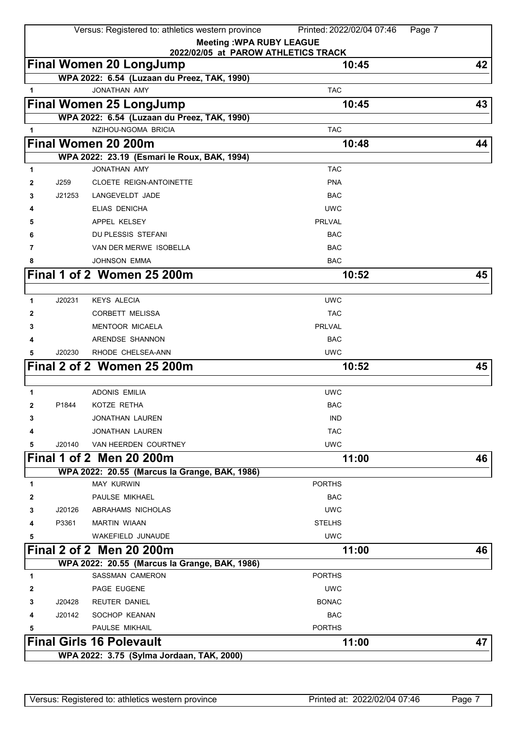|              |        | Versus: Registered to: athletics western province                      | Printed: 2022/02/04 07:46<br>Page 7 |    |
|--------------|--------|------------------------------------------------------------------------|-------------------------------------|----|
|              |        | <b>Meeting: WPA RUBY LEAGUE</b><br>2022/02/05 at PAROW ATHLETICS TRACK |                                     |    |
|              |        | <b>Final Women 20 LongJump</b>                                         | 10:45                               | 42 |
|              |        | WPA 2022: 6.54 (Luzaan du Preez, TAK, 1990)                            |                                     |    |
| 1            |        | <b>JONATHAN AMY</b>                                                    | <b>TAC</b>                          |    |
|              |        | Final Women 25 LongJump                                                | 10:45                               | 43 |
|              |        | WPA 2022: 6.54 (Luzaan du Preez, TAK, 1990)                            |                                     |    |
| 1            |        | NZIHOU-NGOMA BRICIA                                                    | <b>TAC</b>                          |    |
|              |        | Final Women 20 200m                                                    | 10:48                               | 44 |
|              |        | WPA 2022: 23.19 (Esmari le Roux, BAK, 1994)                            |                                     |    |
| 1            |        | JONATHAN AMY                                                           | <b>TAC</b>                          |    |
| 2            | J259   | <b>CLOETE REIGN-ANTOINETTE</b>                                         | <b>PNA</b>                          |    |
| 3            | J21253 | LANGEVELDT JADE                                                        | <b>BAC</b>                          |    |
| 4            |        | ELIAS DENICHA                                                          | <b>UWC</b>                          |    |
| 5            |        | APPEL KELSEY                                                           | <b>PRLVAL</b>                       |    |
| 6            |        | <b>DU PLESSIS STEFANI</b>                                              | <b>BAC</b>                          |    |
| 7            |        | VAN DER MERWE ISOBELLA                                                 | <b>BAC</b>                          |    |
| 8            |        | <b>JOHNSON EMMA</b>                                                    | <b>BAC</b>                          |    |
|              |        | Final 1 of 2 Women 25 200m                                             | 10:52                               | 45 |
|              |        |                                                                        |                                     |    |
| 1            | J20231 | <b>KEYS ALECIA</b>                                                     | <b>UWC</b>                          |    |
| 2            |        | CORBETT MELISSA                                                        | <b>TAC</b>                          |    |
| 3            |        | <b>MENTOOR MICAELA</b>                                                 | <b>PRLVAL</b>                       |    |
| 4            |        | ARENDSE SHANNON                                                        | <b>BAC</b>                          |    |
| 5            | J20230 | RHODE CHELSEA-ANN                                                      | <b>UWC</b>                          |    |
|              |        | Final 2 of 2 Women 25 200m                                             | 10:52                               | 45 |
|              |        |                                                                        |                                     |    |
| 1            |        | <b>ADONIS EMILIA</b>                                                   | <b>UWC</b>                          |    |
| $\mathbf{2}$ | P1844  | KOTZE RETHA                                                            | <b>BAC</b>                          |    |
| 3            |        | <b>JONATHAN LAUREN</b>                                                 | <b>IND</b>                          |    |
| 4            |        | <b>JONATHAN LAUREN</b>                                                 | <b>TAC</b>                          |    |
| 5            | J20140 | VAN HEERDEN COURTNEY                                                   | <b>UWC</b>                          |    |
|              |        | Final 1 of 2 Men 20 200m                                               | 11:00                               | 46 |
|              |        | WPA 2022: 20.55 (Marcus la Grange, BAK, 1986)                          |                                     |    |
| 1            |        | <b>MAY KURWIN</b>                                                      | <b>PORTHS</b>                       |    |
| 2            |        | PAULSE MIKHAEL                                                         | <b>BAC</b>                          |    |
| 3            | J20126 | ABRAHAMS NICHOLAS                                                      | <b>UWC</b>                          |    |
| 4            | P3361  | <b>MARTIN WIAAN</b>                                                    | <b>STELHS</b>                       |    |
| 5            |        | <b>WAKEFIELD JUNAUDE</b>                                               | <b>UWC</b>                          |    |
|              |        | Final 2 of 2 Men 20 200m                                               | 11:00                               | 46 |
|              |        | WPA 2022: 20.55 (Marcus la Grange, BAK, 1986)                          |                                     |    |
| 1            |        | <b>SASSMAN CAMERON</b>                                                 | <b>PORTHS</b>                       |    |
| 2            |        | PAGE EUGENE                                                            | <b>UWC</b>                          |    |
| 3            | J20428 | <b>REUTER DANIEL</b>                                                   | <b>BONAC</b>                        |    |
| 4            | J20142 | SOCHOP KEANAN                                                          | <b>BAC</b>                          |    |
| 5            |        | PAULSE MIKHAIL                                                         | <b>PORTHS</b>                       |    |
|              |        | <b>Final Girls 16 Polevault</b>                                        | 11:00                               | 47 |
|              |        | WPA 2022: 3.75 (Sylma Jordaan, TAK, 2000)                              |                                     |    |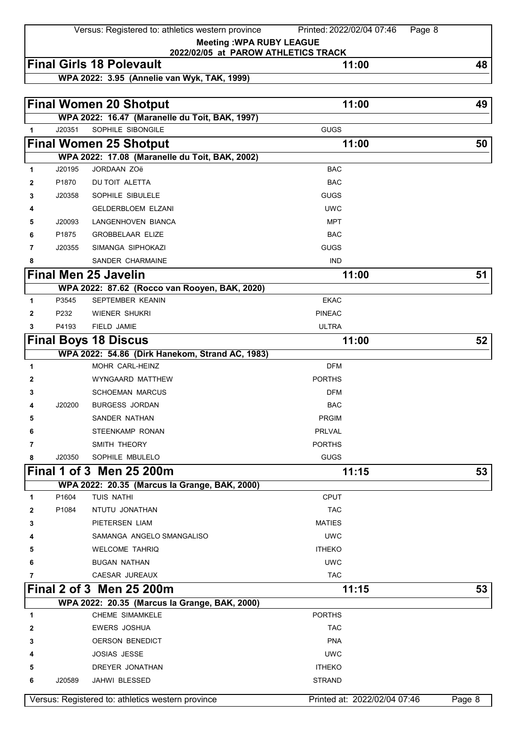Versus: Registered to: athletics western province Printed: 2022/02/04 07:46 Page 8

**Meeting :WPA RUBY LEAGUE 2022/02/05 at PAROW ATHLETICS TRACK**

## **Final Girls 18 Polevault** 48

**WPA 2022: 3.95 (Annelie van Wyk, TAK, 1999)**

|              |        | <b>Final Women 20 Shotput</b>                     | 11:00                        | 49     |
|--------------|--------|---------------------------------------------------|------------------------------|--------|
|              |        | WPA 2022: 16.47 (Maranelle du Toit, BAK, 1997)    |                              |        |
| $\mathbf{1}$ | J20351 | SOPHILE SIBONGILE                                 | <b>GUGS</b>                  |        |
|              |        | <b>Final Women 25 Shotput</b>                     | 11:00                        | 50     |
|              |        | WPA 2022: 17.08 (Maranelle du Toit, BAK, 2002)    |                              |        |
| 1            | J20195 | JORDAAN ZOë                                       | <b>BAC</b>                   |        |
| 2            | P1870  | DU TOIT ALETTA                                    | <b>BAC</b>                   |        |
| 3            | J20358 | SOPHILE SIBULELE                                  | <b>GUGS</b>                  |        |
| 4            |        | <b>GELDERBLOEM ELZANI</b>                         | <b>UWC</b>                   |        |
| 5            | J20093 | LANGENHOVEN BIANCA                                | <b>MPT</b>                   |        |
| 6            | P1875  | <b>GROBBELAAR ELIZE</b>                           | <b>BAC</b>                   |        |
| 7            | J20355 | SIMANGA SIPHOKAZI                                 | <b>GUGS</b>                  |        |
| 8            |        | SANDER CHARMAINE                                  | <b>IND</b>                   |        |
|              |        | <b>Final Men 25 Javelin</b>                       | 11:00                        | 51     |
|              |        | WPA 2022: 87.62 (Rocco van Rooyen, BAK, 2020)     |                              |        |
| 1            | P3545  | <b>SEPTEMBER KEANIN</b>                           | <b>EKAC</b>                  |        |
| 2            | P232   | <b>WIENER SHUKRI</b>                              | <b>PINEAC</b>                |        |
| 3            | P4193  | FIELD JAMIE                                       | <b>ULTRA</b>                 |        |
|              |        | <b>Final Boys 18 Discus</b>                       | 11:00                        | 52     |
|              |        | WPA 2022: 54.86 (Dirk Hanekom, Strand AC, 1983)   |                              |        |
| 1            |        | MOHR CARL-HEINZ                                   | <b>DFM</b>                   |        |
| 2            |        | WYNGAARD MATTHEW                                  | <b>PORTHS</b>                |        |
| 3            |        | <b>SCHOEMAN MARCUS</b>                            | <b>DFM</b>                   |        |
| 4            | J20200 | <b>BURGESS JORDAN</b>                             | <b>BAC</b>                   |        |
| 5            |        | SANDER NATHAN                                     | <b>PRGIM</b>                 |        |
| 6            |        | <b>STEENKAMP RONAN</b>                            | <b>PRLVAL</b>                |        |
| 7            |        | SMITH THEORY                                      | <b>PORTHS</b>                |        |
| 8            | J20350 | SOPHILE MBULELO                                   | <b>GUGS</b>                  |        |
|              |        | Final 1 of 3 Men 25 200m                          | 11:15                        | 53     |
|              |        | WPA 2022: 20.35 (Marcus la Grange, BAK, 2000)     |                              |        |
| 1            | P1604  | TUIS NATHI                                        | <b>CPUT</b>                  |        |
| 2            | P1084  | NTUTU JONATHAN                                    | <b>TAC</b>                   |        |
| 3            |        | PIETERSEN LIAM                                    | <b>MATIES</b>                |        |
| 4            |        | SAMANGA ANGELO SMANGALISO                         | <b>UWC</b>                   |        |
| 5            |        | <b>WELCOME TAHRIQ</b>                             | <b>ITHEKO</b>                |        |
| 6            |        | <b>BUGAN NATHAN</b>                               | <b>UWC</b>                   |        |
| 7            |        | CAESAR JUREAUX                                    | <b>TAC</b>                   |        |
|              |        | Final 2 of 3 Men 25 200m                          | 11:15                        | 53     |
|              |        | WPA 2022: 20.35 (Marcus la Grange, BAK, 2000)     |                              |        |
| 1            |        | <b>CHEME SIMAMKELE</b>                            | <b>PORTHS</b>                |        |
| 2            |        | EWERS JOSHUA                                      | <b>TAC</b>                   |        |
| 3            |        | <b>OERSON BENEDICT</b>                            | <b>PNA</b>                   |        |
|              |        | <b>JOSIAS JESSE</b>                               | <b>UWC</b>                   |        |
| 5            |        | DREYER JONATHAN                                   | <b>ITHEKO</b>                |        |
| 6            | J20589 | JAHWI BLESSED                                     | <b>STRAND</b>                |        |
|              |        | Versus: Registered to: athletics western province | Printed at: 2022/02/04 07:46 | Page 8 |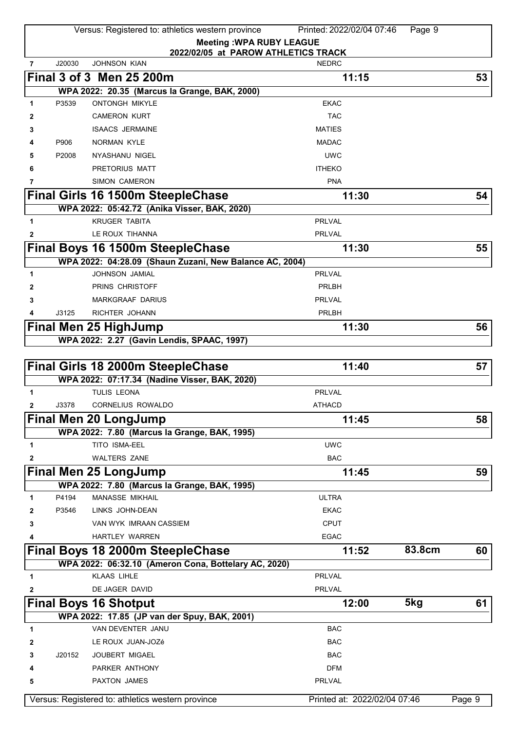|                |        | Versus: Registered to: athletics western province          | Printed: 2022/02/04 07:46    | Page 9 |        |
|----------------|--------|------------------------------------------------------------|------------------------------|--------|--------|
|                |        | <b>Meeting: WPA RUBY LEAGUE</b>                            |                              |        |        |
|                | J20030 | 2022/02/05 at PAROW ATHLETICS TRACK<br><b>JOHNSON KIAN</b> | <b>NEDRC</b>                 |        |        |
| $\overline{7}$ |        |                                                            |                              |        |        |
|                |        | Final 3 of 3 Men 25 200m                                   | 11:15                        |        | 53     |
|                |        | WPA 2022: 20.35 (Marcus la Grange, BAK, 2000)              |                              |        |        |
| 1              | P3539  | <b>ONTONGH MIKYLE</b>                                      | <b>EKAC</b>                  |        |        |
| 2              |        | <b>CAMERON KURT</b>                                        | <b>TAC</b>                   |        |        |
| 3              |        | <b>ISAACS JERMAINE</b>                                     | <b>MATIES</b>                |        |        |
| 4              | P906   | <b>NORMAN KYLE</b>                                         | <b>MADAC</b>                 |        |        |
| 5              | P2008  | NYASHANU NIGEL                                             | <b>UWC</b>                   |        |        |
| 6              |        | PRETORIUS MATT                                             | <b>ITHEKO</b>                |        |        |
| 7              |        | <b>SIMON CAMERON</b>                                       | <b>PNA</b>                   |        |        |
|                |        | <b>Final Girls 16 1500m SteepleChase</b>                   | 11:30                        |        | 54     |
|                |        | WPA 2022: 05:42.72 (Anika Visser, BAK, 2020)               |                              |        |        |
| $\mathbf{1}$   |        | <b>KRUGER TABITA</b>                                       | <b>PRLVAL</b>                |        |        |
| 2              |        | LE ROUX TIHANNA                                            | <b>PRLVAL</b>                |        |        |
|                |        | Final Boys 16 1500m SteepleChase                           | 11:30                        |        | 55     |
|                |        | WPA 2022: 04:28.09 (Shaun Zuzani, New Balance AC, 2004)    |                              |        |        |
| 1              |        | <b>JOHNSON JAMIAL</b>                                      | <b>PRLVAL</b>                |        |        |
| 2              |        | PRINS CHRISTOFF                                            | PRLBH                        |        |        |
| 3              |        | <b>MARKGRAAF DARIUS</b>                                    | <b>PRLVAL</b>                |        |        |
|                | J3125  | RICHTER JOHANN                                             | PRLBH                        |        |        |
|                |        | <b>Final Men 25 HighJump</b>                               | 11:30                        |        | 56     |
|                |        | WPA 2022: 2.27 (Gavin Lendis, SPAAC, 1997)                 |                              |        |        |
|                |        |                                                            |                              |        |        |
|                |        | <b>Final Girls 18 2000m SteepleChase</b>                   | 11:40                        |        | 57     |
|                |        | WPA 2022: 07:17.34 (Nadine Visser, BAK, 2020)              |                              |        |        |
| 1              |        | <b>TULIS LEONA</b>                                         | PRLVAL                       |        |        |
| 2              | J3378  | <b>CORNELIUS ROWALDO</b>                                   | <b>ATHACD</b>                |        |        |
| г              |        | Final Men 20 LongJump                                      | 11:45                        |        | 58     |
|                |        | WPA 2022: 7.80 (Marcus la Grange, BAK, 1995)               |                              |        |        |
| 1              |        | TITO ISMA-EEL                                              | <b>UWC</b>                   |        |        |
| 2              |        | <b>WALTERS ZANE</b>                                        | <b>BAC</b>                   |        |        |
|                |        | <b>Final Men 25 LongJump</b>                               | 11:45                        |        | 59     |
|                |        | WPA 2022: 7.80 (Marcus la Grange, BAK, 1995)               |                              |        |        |
| 1              | P4194  | MANASSE MIKHAIL                                            | <b>ULTRA</b>                 |        |        |
| 2              | P3546  | LINKS JOHN-DEAN                                            | EKAC                         |        |        |
| 3              |        | VAN WYK IMRAAN CASSIEM                                     | <b>CPUT</b>                  |        |        |
| 4              |        | HARTLEY WARREN                                             | <b>EGAC</b>                  |        |        |
|                |        | <b>Final Boys 18 2000m SteepleChase</b>                    | 11:52                        | 83.8cm | 60     |
|                |        | WPA 2022: 06:32.10 (Ameron Cona, Bottelary AC, 2020)       |                              |        |        |
| 1              |        | <b>KLAAS LIHLE</b>                                         | <b>PRLVAL</b>                |        |        |
| 2              |        | DE JAGER DAVID                                             | <b>PRLVAL</b>                |        |        |
|                |        | <b>Final Boys 16 Shotput</b>                               | 12:00                        | 5kg    | 61     |
|                |        | WPA 2022: 17.85 (JP van der Spuy, BAK, 2001)               |                              |        |        |
| 1              |        | VAN DEVENTER JANU                                          | <b>BAC</b>                   |        |        |
| 2              |        | LE ROUX JUAN-JOZé                                          | <b>BAC</b>                   |        |        |
| 3              | J20152 | <b>JOUBERT MIGAEL</b>                                      | <b>BAC</b>                   |        |        |
| 4              |        | PARKER ANTHONY                                             | <b>DFM</b>                   |        |        |
| 5              |        | PAXTON JAMES                                               | PRLVAL                       |        |        |
|                |        |                                                            |                              |        |        |
|                |        | Versus: Registered to: athletics western province          | Printed at: 2022/02/04 07:46 |        | Page 9 |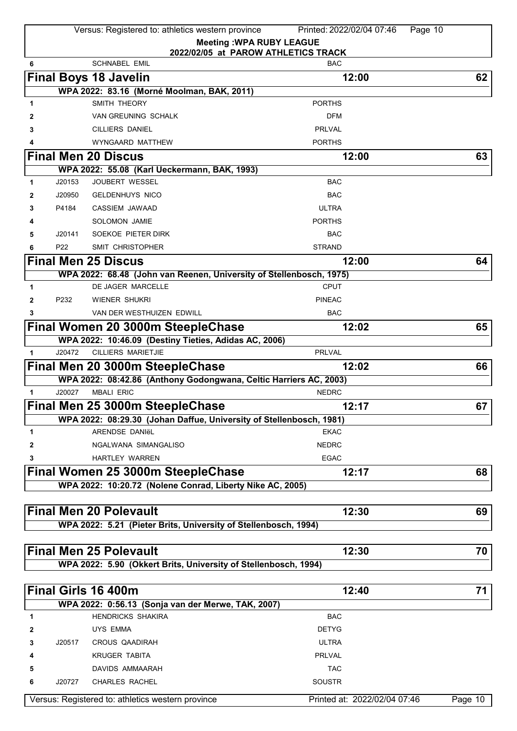|              |                 | Versus: Registered to: athletics western province                   | Printed: 2022/02/04 07:46<br>Page 10                                   |         |
|--------------|-----------------|---------------------------------------------------------------------|------------------------------------------------------------------------|---------|
|              |                 |                                                                     | <b>Meeting: WPA RUBY LEAGUE</b><br>2022/02/05 at PAROW ATHLETICS TRACK |         |
| 6            |                 | <b>SCHNABEL EMIL</b>                                                | <b>BAC</b>                                                             |         |
|              |                 | <b>Final Boys 18 Javelin</b>                                        | 12:00                                                                  | 62      |
|              |                 | WPA 2022: 83.16 (Morné Moolman, BAK, 2011)                          |                                                                        |         |
| 1            |                 | SMITH THEORY                                                        | <b>PORTHS</b>                                                          |         |
| 2            |                 | <b>VAN GREUNING SCHALK</b>                                          | <b>DFM</b>                                                             |         |
| 3            |                 | CILLIERS DANIEL                                                     | <b>PRLVAL</b>                                                          |         |
|              |                 | WYNGAARD MATTHEW                                                    | <b>PORTHS</b>                                                          |         |
|              |                 | <b>Final Men 20 Discus</b>                                          | 12:00                                                                  | 63      |
|              |                 | WPA 2022: 55.08 (Karl Ueckermann, BAK, 1993)                        |                                                                        |         |
| 1            | J20153          | <b>JOUBERT WESSEL</b>                                               | <b>BAC</b>                                                             |         |
| $\mathbf{2}$ | J20950          | <b>GELDENHUYS NICO</b>                                              | <b>BAC</b>                                                             |         |
| 3            | P4184           | CASSIEM JAWAAD                                                      | <b>ULTRA</b>                                                           |         |
|              |                 | SOLOMON JAMIE                                                       | <b>PORTHS</b>                                                          |         |
| 5            | J20141          | SOEKOE PIETER DIRK                                                  | <b>BAC</b>                                                             |         |
| 6            | P <sub>22</sub> | SMIT CHRISTOPHER                                                    | <b>STRAND</b>                                                          |         |
|              |                 |                                                                     |                                                                        |         |
|              |                 | <b>Final Men 25 Discus</b>                                          | 12:00                                                                  | 64      |
|              |                 | WPA 2022: 68.48 (John van Reenen, University of Stellenbosch, 1975) |                                                                        |         |
| 1            |                 | <b>DE JAGER MARCELLE</b>                                            | <b>CPUT</b>                                                            |         |
| $\mathbf{2}$ | P232            | <b>WIENER SHUKRI</b>                                                | <b>PINEAC</b>                                                          |         |
| 3            |                 | VAN DER WESTHUIZEN EDWILL                                           | <b>BAC</b>                                                             |         |
|              |                 | Final Women 20 3000m SteepleChase                                   | 12:02                                                                  | 65      |
|              |                 | WPA 2022: 10:46.09 (Destiny Tieties, Adidas AC, 2006)               |                                                                        |         |
| $\mathbf{1}$ | J20472          | <b>CILLIERS MARIETJIE</b>                                           | <b>PRLVAL</b>                                                          |         |
|              |                 | Final Men 20 3000m SteepleChase                                     | 12:02                                                                  | 66      |
|              |                 | WPA 2022: 08:42.86 (Anthony Godongwana, Celtic Harriers AC, 2003)   |                                                                        |         |
| 1            | J20027          | <b>MBALI ERIC</b>                                                   | <b>NEDRC</b>                                                           |         |
|              |                 | Final Men 25 3000m SteepleChase                                     | 12:17                                                                  | 67      |
|              |                 | WPA 2022: 08:29.30 (Johan Daffue, University of Stellenbosch, 1981) |                                                                        |         |
| 1            |                 | ARENDSE DANIëL                                                      | <b>EKAC</b>                                                            |         |
| $\mathbf{2}$ |                 | NGALWANA SIMANGALISO                                                | <b>NEDRC</b>                                                           |         |
| 3            |                 | <b>HARTLEY WARREN</b>                                               | <b>EGAC</b>                                                            |         |
|              |                 | Final Women 25 3000m SteepleChase                                   | 12:17                                                                  | 68      |
|              |                 | WPA 2022: 10:20.72 (Nolene Conrad, Liberty Nike AC, 2005)           |                                                                        |         |
|              |                 |                                                                     |                                                                        |         |
|              |                 | <b>Final Men 20 Polevault</b>                                       | 12:30                                                                  | 69      |
|              |                 | WPA 2022: 5.21 (Pieter Brits, University of Stellenbosch, 1994)     |                                                                        |         |
|              |                 |                                                                     |                                                                        |         |
|              |                 | <b>Final Men 25 Polevault</b>                                       | 12:30                                                                  | 70      |
|              |                 | WPA 2022: 5.90 (Okkert Brits, University of Stellenbosch, 1994)     |                                                                        |         |
|              |                 |                                                                     |                                                                        |         |
|              |                 | Final Girls 16 400m                                                 | 12:40                                                                  | 71      |
|              |                 | WPA 2022: 0:56.13 (Sonja van der Merwe, TAK, 2007)                  |                                                                        |         |
| 1            |                 | <b>HENDRICKS SHAKIRA</b>                                            | BAC                                                                    |         |
| 2            |                 | <b>UYS EMMA</b>                                                     | <b>DETYG</b>                                                           |         |
| 3            | J20517          | CROUS QAADIRAH                                                      | <b>ULTRA</b>                                                           |         |
| 4            |                 | <b>KRUGER TABITA</b>                                                | <b>PRLVAL</b>                                                          |         |
| 5            |                 | DAVIDS AMMAARAH                                                     | <b>TAC</b>                                                             |         |
| 6            | J20727          | <b>CHARLES RACHEL</b>                                               | <b>SOUSTR</b>                                                          |         |
|              |                 |                                                                     |                                                                        |         |
|              |                 | Versus: Registered to: athletics western province                   | Printed at: 2022/02/04 07:46                                           | Page 10 |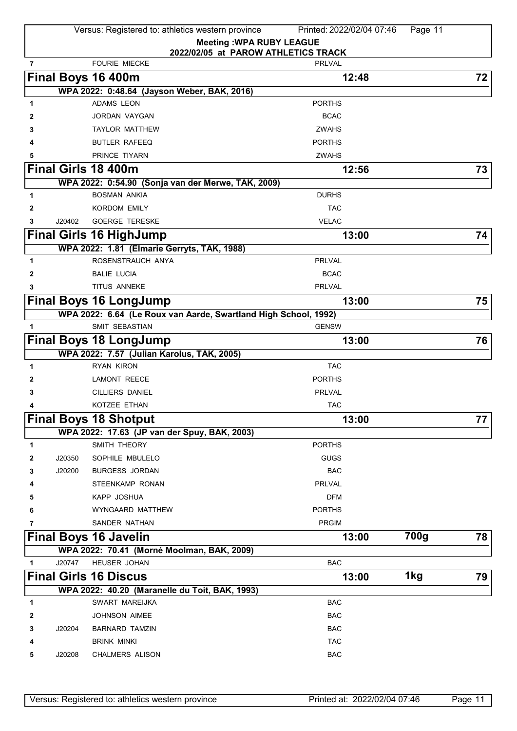|   |        | Versus: Registered to: athletics western province                         | Printed: 2022/02/04 07:46 | Page 11 |    |
|---|--------|---------------------------------------------------------------------------|---------------------------|---------|----|
|   |        | <b>Meeting: WPA RUBY LEAGUE</b>                                           |                           |         |    |
| 7 |        | 2022/02/05 at PAROW ATHLETICS TRACK<br><b>FOURIE MIECKE</b>               | <b>PRLVAL</b>             |         |    |
|   |        |                                                                           |                           |         |    |
|   |        | Final Boys 16 400m                                                        | 12:48                     |         | 72 |
|   |        | WPA 2022: 0:48.64 (Jayson Weber, BAK, 2016)<br><b>ADAMS LEON</b>          | <b>PORTHS</b>             |         |    |
| 1 |        | JORDAN VAYGAN                                                             | <b>BCAC</b>               |         |    |
| 2 |        |                                                                           | <b>ZWAHS</b>              |         |    |
| 3 |        | <b>TAYLOR MATTHEW</b><br><b>BUTLER RAFEEQ</b>                             | <b>PORTHS</b>             |         |    |
| 4 |        | PRINCE TIYARN                                                             |                           |         |    |
| 5 |        |                                                                           | <b>ZWAHS</b>              |         |    |
|   |        | Final Girls 18 400m                                                       | 12:56                     |         | 73 |
|   |        | WPA 2022: 0:54.90 (Sonja van der Merwe, TAK, 2009)<br><b>BOSMAN ANKIA</b> | <b>DURHS</b>              |         |    |
| 1 |        |                                                                           |                           |         |    |
| 2 |        | <b>KORDOM EMILY</b>                                                       | <b>TAC</b>                |         |    |
| 3 | J20402 | <b>GOERGE TERESKE</b>                                                     | <b>VELAC</b>              |         |    |
|   |        | <b>Final Girls 16 HighJump</b>                                            | 13:00                     |         | 74 |
|   |        | WPA 2022: 1.81 (Elmarie Gerryts, TAK, 1988)                               |                           |         |    |
| 1 |        | ROSENSTRAUCH ANYA                                                         | <b>PRLVAL</b>             |         |    |
| 2 |        | <b>BALIE LUCIA</b>                                                        | <b>BCAC</b>               |         |    |
| 3 |        | TITUS ANNEKE                                                              | PRLVAL                    |         |    |
|   |        | <b>Final Boys 16 LongJump</b>                                             | 13:00                     |         | 75 |
|   |        | WPA 2022: 6.64 (Le Roux van Aarde, Swartland High School, 1992)           |                           |         |    |
| 1 |        | SMIT SEBASTIAN                                                            | <b>GENSW</b>              |         |    |
|   |        | <b>Final Boys 18 LongJump</b>                                             | 13:00                     |         | 76 |
|   |        | WPA 2022: 7.57 (Julian Karolus, TAK, 2005)                                |                           |         |    |
| 1 |        | <b>RYAN KIRON</b>                                                         | <b>TAC</b>                |         |    |
| 2 |        | <b>LAMONT REECE</b>                                                       | <b>PORTHS</b>             |         |    |
| 3 |        | <b>CILLIERS DANIEL</b>                                                    | <b>PRLVAL</b>             |         |    |
| 4 |        | KOTZEE ETHAN                                                              | <b>TAC</b>                |         |    |
|   |        | <b>Final Boys 18 Shotput</b>                                              | 13:00                     |         | 77 |
|   |        | WPA 2022: 17.63 (JP van der Spuy, BAK, 2003)                              |                           |         |    |
| 1 |        | SMITH THEORY                                                              | <b>PORTHS</b>             |         |    |
| 2 | J20350 | SOPHILE MBULELO                                                           | <b>GUGS</b>               |         |    |
| 3 | J20200 | <b>BURGESS JORDAN</b>                                                     | <b>BAC</b>                |         |    |
| 4 |        | <b>STEENKAMP RONAN</b>                                                    | <b>PRLVAL</b>             |         |    |
| 5 |        | KAPP JOSHUA                                                               | <b>DFM</b>                |         |    |
| 6 |        | WYNGAARD MATTHEW                                                          | <b>PORTHS</b>             |         |    |
| 7 |        | SANDER NATHAN                                                             | <b>PRGIM</b>              |         |    |
|   |        | <b>Final Boys 16 Javelin</b>                                              | 13:00                     | 700g    | 78 |
|   |        | WPA 2022: 70.41 (Morné Moolman, BAK, 2009)                                |                           |         |    |
|   | J20747 | HEUSER JOHAN                                                              | <b>BAC</b>                |         |    |
|   |        | <b>Final Girls 16 Discus</b>                                              | 13:00                     | 1kg     | 79 |
|   |        | WPA 2022: 40.20 (Maranelle du Toit, BAK, 1993)                            |                           |         |    |
| 1 |        | SWART MAREIJKA                                                            | <b>BAC</b>                |         |    |
| 2 |        | <b>JOHNSON AIMEE</b>                                                      | <b>BAC</b>                |         |    |
| 3 | J20204 | <b>BARNARD TAMZIN</b>                                                     | <b>BAC</b>                |         |    |
| 4 |        | <b>BRINK MINKI</b>                                                        | <b>TAC</b>                |         |    |
| 5 | J20208 | <b>CHALMERS ALISON</b>                                                    | <b>BAC</b>                |         |    |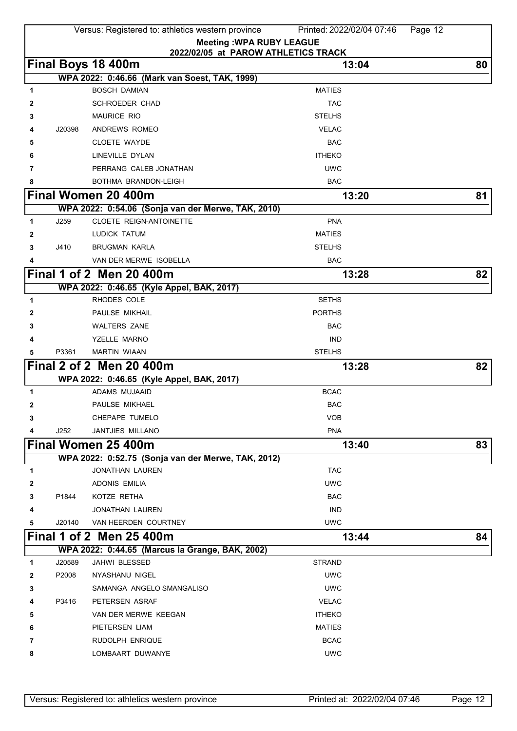|   |        | Versus: Registered to: athletics western province         | Printed: 2022/02/04 07:46<br>Page 12 |    |
|---|--------|-----------------------------------------------------------|--------------------------------------|----|
|   |        | <b>Meeting: WPA RUBY LEAGUE</b>                           |                                      |    |
|   |        | 2022/02/05 at PAROW ATHLETICS TRACK<br>Final Boys 18 400m | 13:04                                | 80 |
|   |        | WPA 2022: 0:46.66 (Mark van Soest, TAK, 1999)             |                                      |    |
| 1 |        | <b>BOSCH DAMIAN</b>                                       | <b>MATIES</b>                        |    |
| 2 |        | SCHROEDER CHAD                                            | <b>TAC</b>                           |    |
| 3 |        | <b>MAURICE RIO</b>                                        | <b>STELHS</b>                        |    |
| 4 | J20398 | ANDREWS ROMEO                                             | <b>VELAC</b>                         |    |
| 5 |        | <b>CLOETE WAYDE</b>                                       | <b>BAC</b>                           |    |
| 6 |        | LINEVILLE DYLAN                                           | <b>ITHEKO</b>                        |    |
| 7 |        | PERRANG CALEB JONATHAN                                    | <b>UWC</b>                           |    |
| 8 |        | BOTHMA BRANDON-LEIGH                                      | <b>BAC</b>                           |    |
|   |        | Final Women 20 400m                                       | 13:20                                | 81 |
|   |        | WPA 2022: 0:54.06 (Sonja van der Merwe, TAK, 2010)        |                                      |    |
| 1 | J259   | CLOETE REIGN-ANTOINETTE                                   | <b>PNA</b>                           |    |
| 2 |        | LUDICK TATUM                                              | <b>MATIES</b>                        |    |
| 3 | J410   | <b>BRUGMAN KARLA</b>                                      | <b>STELHS</b>                        |    |
|   |        | VAN DER MERWE ISOBELLA                                    | <b>BAC</b>                           |    |
|   |        | <b>Final 1 of 2 Men 20 400m</b>                           | 13:28                                | 82 |
|   |        | WPA 2022: 0:46.65 (Kyle Appel, BAK, 2017)                 |                                      |    |
| 1 |        | RHODES COLE                                               | <b>SETHS</b>                         |    |
| 2 |        | PAULSE MIKHAIL                                            | <b>PORTHS</b>                        |    |
| 3 |        | <b>WALTERS ZANE</b>                                       | <b>BAC</b>                           |    |
| 4 |        | YZELLE MARNO                                              | <b>IND</b>                           |    |
| 5 | P3361  | <b>MARTIN WIAAN</b>                                       | <b>STELHS</b>                        |    |
|   |        | Final 2 of 2 Men 20 400m                                  | 13:28                                | 82 |
|   |        | WPA 2022: 0:46.65 (Kyle Appel, BAK, 2017)                 |                                      |    |
| 1 |        | ADAMS MUJAAID                                             | <b>BCAC</b>                          |    |
| 2 |        | PAULSE MIKHAEL                                            | <b>BAC</b>                           |    |
| 3 |        | CHEPAPE TUMELO                                            | <b>VOB</b>                           |    |
|   | J252   | JANTJIES MILLANO                                          | <b>PNA</b>                           |    |
|   |        | Final Women 25 400m                                       | 13:40                                | 83 |
|   |        | WPA 2022: 0:52.75 (Sonja van der Merwe, TAK, 2012)        |                                      |    |
| 1 |        | <b>JONATHAN LAUREN</b>                                    | <b>TAC</b>                           |    |
| 2 |        | ADONIS EMILIA                                             | <b>UWC</b>                           |    |
| 3 | P1844  | KOTZE RETHA                                               | <b>BAC</b>                           |    |
| 4 |        | <b>JONATHAN LAUREN</b>                                    | <b>IND</b>                           |    |
| 5 | J20140 | VAN HEERDEN COURTNEY                                      | <b>UWC</b>                           |    |
|   |        | Final 1 of 2 Men 25 400m                                  | 13:44                                | 84 |
|   |        | WPA 2022: 0:44.65 (Marcus la Grange, BAK, 2002)           |                                      |    |
| 1 | J20589 | JAHWI BLESSED                                             | <b>STRAND</b>                        |    |
| 2 | P2008  | NYASHANU NIGEL                                            | <b>UWC</b>                           |    |
| 3 |        | SAMANGA ANGELO SMANGALISO                                 | <b>UWC</b>                           |    |
| 4 | P3416  | PETERSEN ASRAF                                            | <b>VELAC</b>                         |    |
| 5 |        | VAN DER MERWE KEEGAN                                      | <b>ITHEKO</b>                        |    |
| 6 |        | PIETERSEN LIAM                                            | <b>MATIES</b>                        |    |
| 7 |        | RUDOLPH ENRIQUE                                           | <b>BCAC</b>                          |    |
| 8 |        | LOMBAART DUWANYE                                          | <b>UWC</b>                           |    |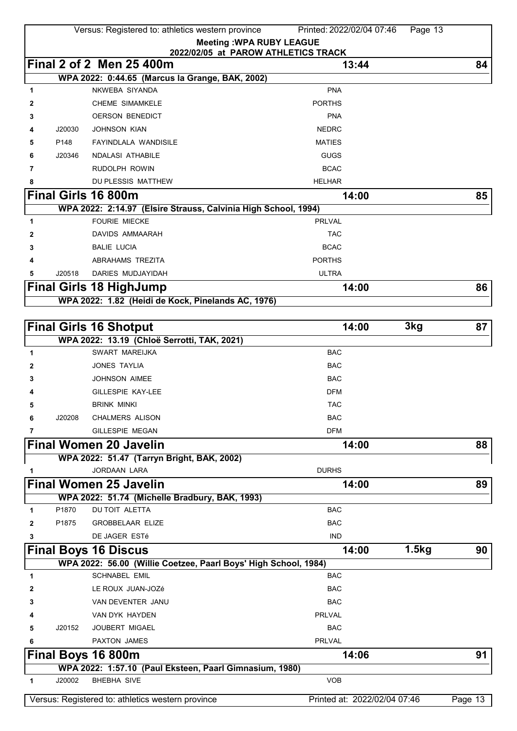|              |        | Versus: Registered to: athletics western province  |                                                                        | Printed: 2022/02/04 07:46    | Page 13 |         |
|--------------|--------|----------------------------------------------------|------------------------------------------------------------------------|------------------------------|---------|---------|
|              |        |                                                    | <b>Meeting: WPA RUBY LEAGUE</b><br>2022/02/05 at PAROW ATHLETICS TRACK |                              |         |         |
|              |        | Final 2 of 2 Men 25 400m                           |                                                                        | 13:44                        |         | 84      |
|              |        | WPA 2022: 0:44.65 (Marcus la Grange, BAK, 2002)    |                                                                        |                              |         |         |
| 1            |        | NKWEBA SIYANDA                                     |                                                                        | <b>PNA</b>                   |         |         |
| 2            |        | <b>CHEME SIMAMKELE</b>                             |                                                                        | <b>PORTHS</b>                |         |         |
| 3            |        | <b>OERSON BENEDICT</b>                             |                                                                        | <b>PNA</b>                   |         |         |
|              | J20030 | <b>JOHNSON KIAN</b>                                |                                                                        | <b>NEDRC</b>                 |         |         |
| 5            | P148   | <b>FAYINDLALA WANDISILE</b>                        |                                                                        | <b>MATIES</b>                |         |         |
| 6            | J20346 | <b>NDALASI ATHABILE</b>                            |                                                                        | <b>GUGS</b>                  |         |         |
| 7            |        | RUDOLPH ROWIN                                      |                                                                        | <b>BCAC</b>                  |         |         |
| 8            |        | DU PLESSIS MATTHEW                                 |                                                                        | <b>HELHAR</b>                |         |         |
|              |        | Final Girls 16 800m                                |                                                                        | 14:00                        |         | 85      |
|              |        |                                                    | WPA 2022: 2:14.97 (Elsire Strauss, Calvinia High School, 1994)         |                              |         |         |
| 1            |        | <b>FOURIE MIECKE</b>                               |                                                                        | <b>PRLVAL</b>                |         |         |
| 2            |        | DAVIDS AMMAARAH                                    |                                                                        | <b>TAC</b>                   |         |         |
| 3            |        | <b>BALIE LUCIA</b>                                 |                                                                        | <b>BCAC</b>                  |         |         |
| 4            |        | ABRAHAMS TREZITA                                   |                                                                        | <b>PORTHS</b>                |         |         |
| 5            | J20518 | DARIES MUDJAYIDAH                                  |                                                                        | <b>ULTRA</b>                 |         |         |
|              |        | <b>Final Girls 18 HighJump</b>                     |                                                                        | 14:00                        |         | 86      |
|              |        | WPA 2022: 1.82 (Heidi de Kock, Pinelands AC, 1976) |                                                                        |                              |         |         |
|              |        |                                                    |                                                                        |                              |         |         |
|              |        | <b>Final Girls 16 Shotput</b>                      |                                                                        | 14:00                        | 3kg     | 87      |
|              |        | WPA 2022: 13.19 (Chloë Serrotti, TAK, 2021)        |                                                                        |                              |         |         |
| $\mathbf{1}$ |        | <b>SWART MAREIJKA</b>                              |                                                                        | <b>BAC</b>                   |         |         |
| 2            |        | JONES TAYLIA                                       |                                                                        | <b>BAC</b>                   |         |         |
| 3            |        | <b>JOHNSON AIMEE</b>                               |                                                                        | <b>BAC</b>                   |         |         |
| 4            |        | GILLESPIE KAY-LEE                                  |                                                                        | <b>DFM</b>                   |         |         |
| 5            |        | <b>BRINK MINKI</b>                                 |                                                                        | <b>TAC</b>                   |         |         |
| 6            | J20208 | CHALMERS ALISON                                    |                                                                        | <b>BAC</b>                   |         |         |
| 7            |        | <b>GILLESPIE MEGAN</b>                             |                                                                        | <b>DFM</b>                   |         |         |
|              |        | <b>Final Women 20 Javelin</b>                      |                                                                        | 14:00                        |         | 88      |
|              |        | WPA 2022: 51.47 (Tarryn Bright, BAK, 2002)         |                                                                        |                              |         |         |
| 1            |        | <b>JORDAAN LARA</b>                                |                                                                        | <b>DURHS</b>                 |         |         |
|              |        | <b>Final Women 25 Javelin</b>                      |                                                                        | 14:00                        |         | 89      |
|              |        | WPA 2022: 51.74 (Michelle Bradbury, BAK, 1993)     |                                                                        |                              |         |         |
| 1            | P1870  | DU TOIT ALETTA                                     |                                                                        | <b>BAC</b>                   |         |         |
| $\mathbf{2}$ | P1875  | <b>GROBBELAAR ELIZE</b>                            |                                                                        | <b>BAC</b>                   |         |         |
| 3            |        | DE JAGER ESTé                                      |                                                                        | <b>IND</b>                   |         |         |
|              |        | <b>Final Boys 16 Discus</b>                        |                                                                        | 14:00                        | 1.5kg   | 90      |
|              |        |                                                    | WPA 2022: 56.00 (Willie Coetzee, Paarl Boys' High School, 1984)        |                              |         |         |
| 1            |        | SCHNABEL EMIL                                      |                                                                        | <b>BAC</b>                   |         |         |
| 2            |        | LE ROUX JUAN-JOZé                                  |                                                                        | <b>BAC</b>                   |         |         |
| 3            |        | VAN DEVENTER JANU                                  |                                                                        | <b>BAC</b>                   |         |         |
|              |        | VAN DYK HAYDEN                                     |                                                                        | <b>PRLVAL</b>                |         |         |
| 5            | J20152 | JOUBERT MIGAEL                                     |                                                                        | <b>BAC</b>                   |         |         |
| 6            |        | PAXTON JAMES                                       |                                                                        | <b>PRLVAL</b>                |         |         |
|              |        | Final Boys 16 800m                                 |                                                                        | 14:06                        |         | 91      |
| 1            | J20002 | <b>BHEBHA SIVE</b>                                 | WPA 2022: 1:57.10 (Paul Eksteen, Paarl Gimnasium, 1980)                | <b>VOB</b>                   |         |         |
|              |        |                                                    |                                                                        |                              |         |         |
|              |        | Versus: Registered to: athletics western province  |                                                                        | Printed at: 2022/02/04 07:46 |         | Page 13 |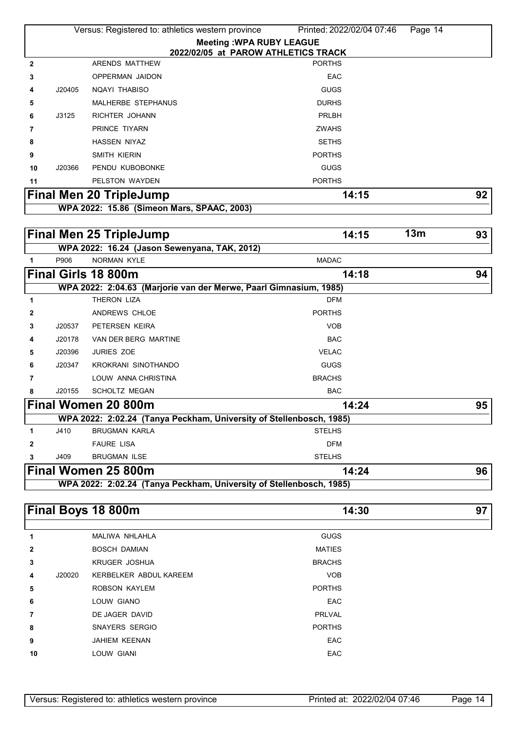|              |        | Versus: Registered to: athletics western province | Printed: 2022/02/04 07:46<br>Page 14                                |    |
|--------------|--------|---------------------------------------------------|---------------------------------------------------------------------|----|
|              |        |                                                   | <b>Meeting: WPA RUBY LEAGUE</b>                                     |    |
|              |        | ARENDS MATTHEW                                    | 2022/02/05 at PAROW ATHLETICS TRACK<br><b>PORTHS</b>                |    |
| $\mathbf{2}$ |        |                                                   |                                                                     |    |
| 3            |        | OPPERMAN JAIDON                                   | EAC                                                                 |    |
| 4            | J20405 | NQAYI THABISO                                     | <b>GUGS</b>                                                         |    |
| 5            |        | MALHERBE STEPHANUS                                | <b>DURHS</b>                                                        |    |
| 6            | J3125  | RICHTER JOHANN                                    | PRLBH                                                               |    |
| 7            |        | PRINCE TIYARN                                     | <b>ZWAHS</b>                                                        |    |
| 8            |        | <b>HASSEN NIYAZ</b>                               | <b>SETHS</b>                                                        |    |
| 9            |        | SMITH KIERIN                                      | <b>PORTHS</b>                                                       |    |
| 10           | J20366 | PENDU KUBOBONKE                                   | <b>GUGS</b>                                                         |    |
| 11           |        | PELSTON WAYDEN                                    | <b>PORTHS</b>                                                       |    |
|              |        | <b>Final Men 20 TripleJump</b>                    | 14:15                                                               | 92 |
|              |        | WPA 2022: 15.86 (Simeon Mars, SPAAC, 2003)        |                                                                     |    |
|              |        |                                                   |                                                                     |    |
|              |        | <b>Final Men 25 TripleJump</b>                    | 13m<br>14:15                                                        | 93 |
|              |        | WPA 2022: 16.24 (Jason Sewenyana, TAK, 2012)      |                                                                     |    |
| 1            | P906   | NORMAN KYLE                                       | <b>MADAC</b>                                                        |    |
|              |        | Final Girls 18 800m                               | 14:18                                                               | 94 |
|              |        |                                                   | WPA 2022: 2:04.63 (Marjorie van der Merwe, Paarl Gimnasium, 1985)   |    |
| 1            |        | THERON LIZA                                       | <b>DFM</b>                                                          |    |
| 2            |        | ANDREWS CHLOE                                     | <b>PORTHS</b>                                                       |    |
| 3            | J20537 | PETERSEN KEIRA                                    | <b>VOB</b>                                                          |    |
| 4            | J20178 | VAN DER BERG MARTINE                              | <b>BAC</b>                                                          |    |
| 5            | J20396 | <b>JURIES ZOE</b>                                 | <b>VELAC</b>                                                        |    |
| 6            | J20347 | KROKRANI SINOTHANDO                               | <b>GUGS</b>                                                         |    |
| 7            |        | LOUW ANNA CHRISTINA                               | <b>BRACHS</b>                                                       |    |
| 8            | J20155 | <b>SCHOLTZ MEGAN</b>                              | <b>BAC</b>                                                          |    |
|              |        | Final Women 20 800m                               | 14:24                                                               | 95 |
|              |        |                                                   | WPA 2022: 2:02.24 (Tanya Peckham, University of Stellenbosch, 1985) |    |
| 1            | J410   | <b>BRUGMAN KARLA</b>                              | <b>STELHS</b>                                                       |    |
| 2            |        | <b>FAURE LISA</b>                                 | <b>DFM</b>                                                          |    |
| 3            | J409   | <b>BRUGMAN ILSE</b>                               | <b>STELHS</b>                                                       |    |
|              |        | Final Women 25 800m                               | 14:24                                                               | 96 |
|              |        |                                                   | WPA 2022: 2:02.24 (Tanya Peckham, University of Stellenbosch, 1985) |    |
|              |        |                                                   |                                                                     |    |
|              |        | Final Boys 18 800m                                | 14:30                                                               | 97 |
|              |        |                                                   |                                                                     |    |
| 1            |        | MALIWA NHLAHLA                                    | <b>GUGS</b>                                                         |    |
| 2            |        | <b>BOSCH DAMIAN</b>                               | <b>MATIES</b>                                                       |    |
| 3            |        | <b>KRUGER JOSHUA</b>                              | <b>BRACHS</b>                                                       |    |
| 4            | J20020 | KERBELKER ABDUL KAREEM                            | <b>VOB</b>                                                          |    |
| 5            |        | ROBSON KAYLEM                                     | <b>PORTHS</b>                                                       |    |
| 6            |        | LOUW GIANO                                        | EAC                                                                 |    |
| 7            |        | DE JAGER DAVID                                    | PRLVAL                                                              |    |
| 8            |        | SNAYERS SERGIO                                    | <b>PORTHS</b>                                                       |    |
| 9            |        | JAHIEM KEENAN                                     | EAC                                                                 |    |

LOUW GIANI **EAC**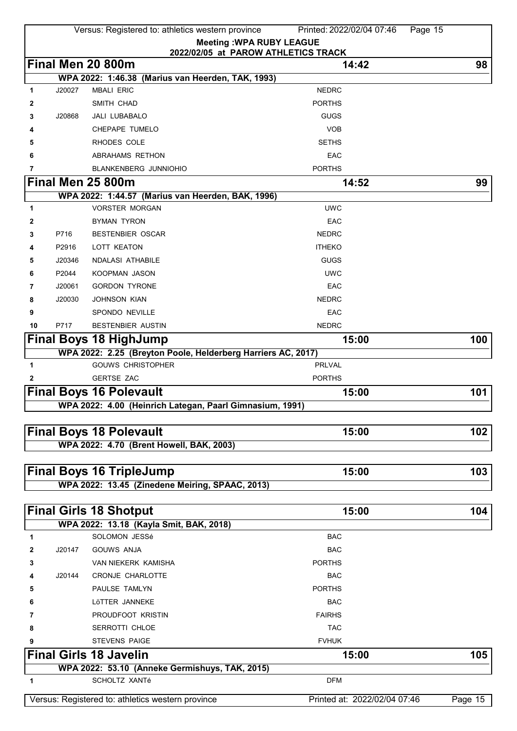|              |        | Versus: Registered to: athletics western province                                          | Printed: 2022/02/04 07:46    | Page 15 |
|--------------|--------|--------------------------------------------------------------------------------------------|------------------------------|---------|
|              |        | <b>Meeting: WPA RUBY LEAGUE</b>                                                            |                              |         |
|              |        | 2022/02/05 at PAROW ATHLETICS TRACK                                                        |                              |         |
|              |        | Final Men 20 800m                                                                          | 14:42                        | 98      |
|              | J20027 | WPA 2022: 1:46.38 (Marius van Heerden, TAK, 1993)<br><b>MBALI ERIC</b>                     | <b>NEDRC</b>                 |         |
| 1            |        | SMITH CHAD                                                                                 | <b>PORTHS</b>                |         |
| 2            |        |                                                                                            | GUGS                         |         |
| 3            | J20868 | <b>JALI LUBABALO</b><br>CHEPAPE TUMELO                                                     | <b>VOB</b>                   |         |
| 4            |        |                                                                                            |                              |         |
| 5            |        | RHODES COLE                                                                                | <b>SETHS</b>                 |         |
| 6            |        | ABRAHAMS RETHON                                                                            | EAC                          |         |
| 7            |        | <b>BLANKENBERG JUNNIOHIO</b><br>Final Men 25 800m                                          | <b>PORTHS</b>                |         |
|              |        | WPA 2022: 1:44.57 (Marius van Heerden, BAK, 1996)                                          | 14:52                        | 99      |
| 1            |        | <b>VORSTER MORGAN</b>                                                                      | <b>UWC</b>                   |         |
| 2            |        | <b>BYMAN TYRON</b>                                                                         | EAC                          |         |
| 3            | P716   | <b>BESTENBIER OSCAR</b>                                                                    | <b>NEDRC</b>                 |         |
| 4            | P2916  | LOTT KEATON                                                                                | <b>ITHEKO</b>                |         |
| 5            | J20346 | <b>NDALASI ATHABILE</b>                                                                    | GUGS                         |         |
| 6            | P2044  | <b>KOOPMAN JASON</b>                                                                       | <b>UWC</b>                   |         |
|              |        | <b>GORDON TYRONE</b>                                                                       | EAC                          |         |
| 7            | J20061 |                                                                                            | <b>NEDRC</b>                 |         |
| 8            | J20030 | <b>JOHNSON KIAN</b>                                                                        | EAC                          |         |
| 9            | P717   | SPONDO NEVILLE                                                                             | <b>NEDRC</b>                 |         |
| 10           |        | BESTENBIER AUSTIN                                                                          |                              |         |
|              |        | <b>Final Boys 18 HighJump</b>                                                              | 15:00                        | 100     |
| 1            |        | WPA 2022: 2.25 (Breyton Poole, Helderberg Harriers AC, 2017)<br><b>GOUWS CHRISTOPHER</b>   | <b>PRLVAL</b>                |         |
| $\mathbf{2}$ |        | <b>GERTSE ZAC</b>                                                                          | <b>PORTHS</b>                |         |
|              |        |                                                                                            |                              |         |
|              |        | <b>Final Boys 16 Polevault</b><br>WPA 2022: 4.00 (Heinrich Lategan, Paarl Gimnasium, 1991) | 15:00                        | 101     |
|              |        |                                                                                            |                              |         |
|              |        | <b>Final Boys 18 Polevault</b>                                                             | 15:00                        | 102     |
|              |        | WPA 2022: 4.70 (Brent Howell, BAK, 2003)                                                   |                              |         |
|              |        |                                                                                            |                              |         |
|              |        | <b>Final Boys 16 TripleJump</b>                                                            | 15:00                        | 103     |
|              |        | WPA 2022: 13.45 (Zinedene Meiring, SPAAC, 2013)                                            |                              |         |
|              |        |                                                                                            |                              |         |
|              |        | <b>Final Girls 18 Shotput</b>                                                              | 15:00                        | 104     |
|              |        | WPA 2022: 13.18 (Kayla Smit, BAK, 2018)                                                    |                              |         |
| 1            |        | SOLOMON JESSé                                                                              | <b>BAC</b>                   |         |
| 2            | J20147 | <b>GOUWS ANJA</b>                                                                          | <b>BAC</b>                   |         |
| 3            |        | <b>VAN NIEKERK KAMISHA</b>                                                                 | <b>PORTHS</b>                |         |
| 4            | J20144 | CRONJE CHARLOTTE                                                                           | <b>BAC</b>                   |         |
| 5            |        | PAULSE TAMLYN                                                                              | <b>PORTHS</b>                |         |
| 6            |        | LÖTTER JANNEKE                                                                             | <b>BAC</b>                   |         |
| 7            |        | PROUDFOOT KRISTIN                                                                          | <b>FAIRHS</b>                |         |
| 8            |        | <b>SERROTTI CHLOE</b>                                                                      | <b>TAC</b>                   |         |
|              |        | <b>STEVENS PAIGE</b>                                                                       | <b>FVHUK</b>                 |         |
|              |        | <b>Final Girls 18 Javelin</b>                                                              | 15:00                        | 105     |
|              |        | WPA 2022: 53.10 (Anneke Germishuys, TAK, 2015)                                             |                              |         |
| 1            |        | <b>SCHOLTZ XANTé</b>                                                                       | <b>DFM</b>                   |         |
|              |        | Versus: Registered to: athletics western province                                          | Printed at: 2022/02/04 07:46 |         |
|              |        |                                                                                            |                              | Page 15 |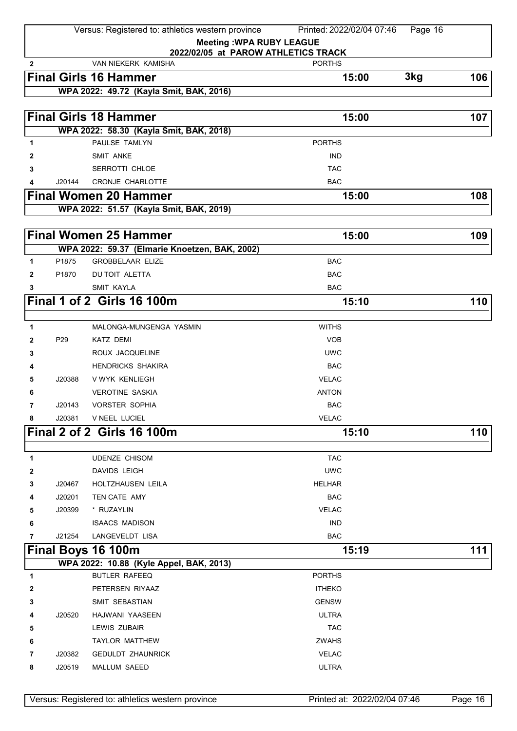|              |                 | Versus: Registered to: athletics western province        | Printed: 2022/02/04 07:46<br>Page 16 |     |
|--------------|-----------------|----------------------------------------------------------|--------------------------------------|-----|
|              |                 | <b>Meeting: WPA RUBY LEAGUE</b>                          |                                      |     |
|              |                 | 2022/02/05 at PAROW ATHLETICS TRACK                      |                                      |     |
| $\mathbf{2}$ |                 | <b>VAN NIEKERK KAMISHA</b>                               | <b>PORTHS</b>                        |     |
|              |                 | <b>Final Girls 16 Hammer</b>                             | 3kg<br>15:00                         | 106 |
|              |                 | WPA 2022: 49.72 (Kayla Smit, BAK, 2016)                  |                                      |     |
|              |                 | <b>Final Girls 18 Hammer</b>                             | 15:00                                | 107 |
|              |                 |                                                          |                                      |     |
| 1            |                 | WPA 2022: 58.30 (Kayla Smit, BAK, 2018)<br>PAULSE TAMLYN | <b>PORTHS</b>                        |     |
| 2            |                 | <b>SMIT ANKE</b>                                         | <b>IND</b>                           |     |
| 3            |                 | SERROTTI CHLOE                                           | <b>TAC</b>                           |     |
| 4            | J20144          | CRONJE CHARLOTTE                                         | <b>BAC</b>                           |     |
|              |                 | <b>Final Women 20 Hammer</b>                             | 15:00                                | 108 |
|              |                 | WPA 2022: 51.57 (Kayla Smit, BAK, 2019)                  |                                      |     |
|              |                 |                                                          |                                      |     |
|              |                 | <b>Final Women 25 Hammer</b>                             | 15:00                                | 109 |
|              |                 | WPA 2022: 59.37 (Elmarie Knoetzen, BAK, 2002)            |                                      |     |
| 1            | P1875           | <b>GROBBELAAR ELIZE</b>                                  | <b>BAC</b>                           |     |
| 2            | P1870           | <b>DU TOIT ALETTA</b>                                    | <b>BAC</b>                           |     |
| 3            |                 | <b>SMIT KAYLA</b>                                        | <b>BAC</b>                           |     |
|              |                 | <b>Final 1 of 2 Girls 16 100m</b>                        | 15:10                                | 110 |
|              |                 |                                                          |                                      |     |
| 1            |                 | MALONGA-MUNGENGA YASMIN                                  | <b>WITHS</b>                         |     |
| 2            | P <sub>29</sub> | <b>KATZ DEMI</b>                                         | <b>VOB</b>                           |     |
| 3            |                 | ROUX JACQUELINE                                          | <b>UWC</b>                           |     |
| 4            |                 | <b>HENDRICKS SHAKIRA</b>                                 | <b>BAC</b>                           |     |
| 5            | J20388          | V WYK KENLIEGH                                           | <b>VELAC</b>                         |     |
| 6            |                 | <b>VEROTINE SASKIA</b>                                   | <b>ANTON</b>                         |     |
| 7            | J20143          | <b>VORSTER SOPHIA</b>                                    | <b>BAC</b>                           |     |
| 8            | J20381          | V NEEL LUCIEL                                            | <b>VELAC</b>                         |     |
|              |                 | <b>Final 2 of 2 Girls 16 100m</b>                        | 15:10                                | 110 |
| 1            |                 | <b>UDENZE CHISOM</b>                                     | <b>TAC</b>                           |     |
| 2            |                 | <b>DAVIDS LEIGH</b>                                      | <b>UWC</b>                           |     |
| 3            | J20467          | HOLTZHAUSEN LEILA                                        | <b>HELHAR</b>                        |     |
| 4            | J20201          | TEN CATE AMY                                             | <b>BAC</b>                           |     |
| 5            | J20399          | * RUZAYLIN                                               | <b>VELAC</b>                         |     |
| 6            |                 | <b>ISAACS MADISON</b>                                    | <b>IND</b>                           |     |
| 7            | J21254          | LANGEVELDT LISA                                          | <b>BAC</b>                           |     |
|              |                 | Final Boys 16 100m                                       | 15:19                                | 111 |
|              |                 | WPA 2022: 10.88 (Kyle Appel, BAK, 2013)                  |                                      |     |
| 1            |                 | BUTLER RAFEEQ                                            | <b>PORTHS</b>                        |     |
| 2            |                 | PETERSEN RIYAAZ                                          | <b>ITHEKO</b>                        |     |
| 3            |                 | SMIT SEBASTIAN                                           | <b>GENSW</b>                         |     |
| 4            | J20520          | HAJWANI YAASEEN                                          | <b>ULTRA</b>                         |     |
| 5            |                 | LEWIS ZUBAIR                                             | <b>TAC</b>                           |     |
| 6            |                 | <b>TAYLOR MATTHEW</b>                                    | <b>ZWAHS</b>                         |     |
| 7            | J20382          | <b>GEDULDT ZHAUNRICK</b>                                 | <b>VELAC</b>                         |     |
| 8            | J20519          | MALLUM SAEED                                             | <b>ULTRA</b>                         |     |
|              |                 |                                                          |                                      |     |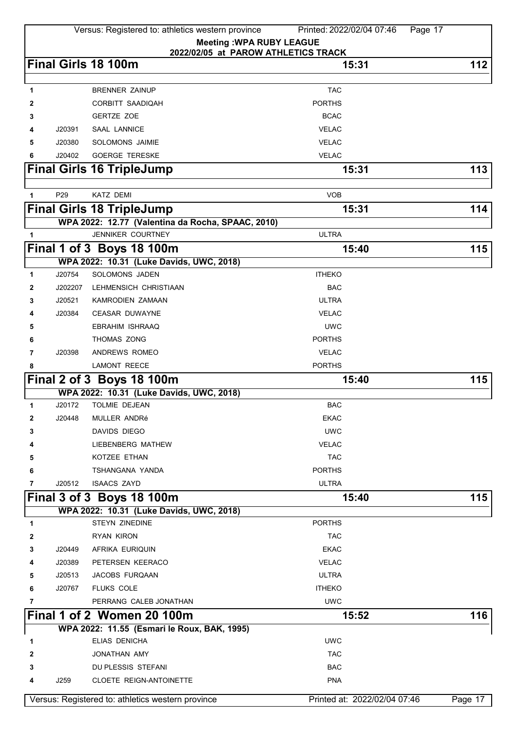|              |                 | Versus: Registered to: athletics western province          | Printed: 2022/02/04 07:46<br>Page 17 |         |
|--------------|-----------------|------------------------------------------------------------|--------------------------------------|---------|
|              |                 | <b>Meeting: WPA RUBY LEAGUE</b>                            |                                      |         |
|              |                 | 2022/02/05 at PAROW ATHLETICS TRACK<br>Final Girls 18 100m | 15:31                                | 112     |
|              |                 |                                                            |                                      |         |
| 1            |                 | <b>BRENNER ZAINUP</b>                                      | <b>TAC</b>                           |         |
| 2            |                 | CORBITT SAADIQAH                                           | <b>PORTHS</b>                        |         |
| 3            |                 | GERTZE ZOE                                                 | <b>BCAC</b>                          |         |
| 4            | J20391          | <b>SAAL LANNICE</b>                                        | <b>VELAC</b>                         |         |
| 5            | J20380          | SOLOMONS JAIMIE                                            | <b>VELAC</b>                         |         |
| 6            | J20402          | <b>GOERGE TERESKE</b>                                      | <b>VELAC</b>                         |         |
|              |                 | <b>Final Girls 16 TripleJump</b>                           | 15:31                                | 113     |
|              |                 |                                                            |                                      |         |
| 1            | P <sub>29</sub> | <b>KATZ DEMI</b>                                           | <b>VOB</b>                           |         |
|              |                 | <b>Final Girls 18 TripleJump</b>                           | 15:31                                | 114     |
|              |                 | WPA 2022: 12.77 (Valentina da Rocha, SPAAC, 2010)          |                                      |         |
| 1            |                 | <b>JENNIKER COURTNEY</b>                                   | <b>ULTRA</b>                         |         |
|              |                 | Final 1 of 3 Boys 18 100m                                  | 15:40                                | 115     |
|              |                 | WPA 2022: 10.31 (Luke Davids, UWC, 2018)                   |                                      |         |
| 1            | J20754          | SOLOMONS JADEN                                             | <b>ITHEKO</b>                        |         |
| 2            | J202207         | LEHMENSICH CHRISTIAAN                                      | <b>BAC</b>                           |         |
| 3            | J20521          | <b>KAMRODIEN ZAMAAN</b>                                    | <b>ULTRA</b>                         |         |
| 4            | J20384          | <b>CEASAR DUWAYNE</b>                                      | <b>VELAC</b>                         |         |
| 5            |                 | <b>EBRAHIM ISHRAAQ</b>                                     | <b>UWC</b>                           |         |
| 6            |                 | THOMAS ZONG                                                | <b>PORTHS</b>                        |         |
| 7            | J20398          | ANDREWS ROMEO                                              | <b>VELAC</b>                         |         |
| 8            |                 | <b>LAMONT REECE</b>                                        | <b>PORTHS</b>                        |         |
|              |                 | Final 2 of 3 Boys 18 100m                                  | 15:40                                | 115     |
|              |                 | WPA 2022: 10.31 (Luke Davids, UWC, 2018)                   |                                      |         |
| $\mathbf{1}$ | J20172          | <b>TOLMIE DEJEAN</b>                                       | <b>BAC</b>                           |         |
| 2            | J20448          | MULLER ANDRé                                               | EKAC                                 |         |
| 3            |                 | <b>DAVIDS DIEGO</b>                                        | <b>UWC</b>                           |         |
|              |                 | <b>LIEBENBERG MATHEW</b>                                   | <b>VELAC</b>                         |         |
| 5            |                 | KOTZEE ETHAN                                               | <b>TAC</b>                           |         |
| 6            |                 | TSHANGANA YANDA                                            | <b>PORTHS</b>                        |         |
| 7            | J20512          | <b>ISAACS ZAYD</b>                                         | <b>ULTRA</b>                         |         |
|              |                 | Final 3 of 3 Boys 18 100m                                  | 15:40                                | 115     |
|              |                 | WPA 2022: 10.31 (Luke Davids, UWC, 2018)                   |                                      |         |
| 1            |                 | <b>STEYN ZINEDINE</b>                                      | <b>PORTHS</b>                        |         |
| 2            |                 | <b>RYAN KIRON</b>                                          | <b>TAC</b>                           |         |
| 3            | J20449          | AFRIKA EURIQUIN                                            | <b>EKAC</b>                          |         |
| 4            | J20389          | PETERSEN KEERACO                                           | <b>VELAC</b>                         |         |
| 5            | J20513          | JACOBS FURQAAN                                             | <b>ULTRA</b>                         |         |
| 6            | J20767          | <b>FLUKS COLE</b>                                          | <b>ITHEKO</b>                        |         |
| 7            |                 | PERRANG CALEB JONATHAN                                     | <b>UWC</b>                           |         |
|              |                 | Final 1 of 2 Women 20 100m                                 | 15:52                                | 116     |
|              |                 | WPA 2022: 11.55 (Esmari le Roux, BAK, 1995)                |                                      |         |
| 1            |                 | <b>ELIAS DENICHA</b>                                       | <b>UWC</b>                           |         |
| 2            |                 | JONATHAN AMY                                               | <b>TAC</b>                           |         |
| 3            |                 | DU PLESSIS STEFANI                                         | <b>BAC</b>                           |         |
| 4            | J259            | CLOETE REIGN-ANTOINETTE                                    | <b>PNA</b>                           |         |
|              |                 | Versus: Registered to: athletics western province          | Printed at: 2022/02/04 07:46         | Page 17 |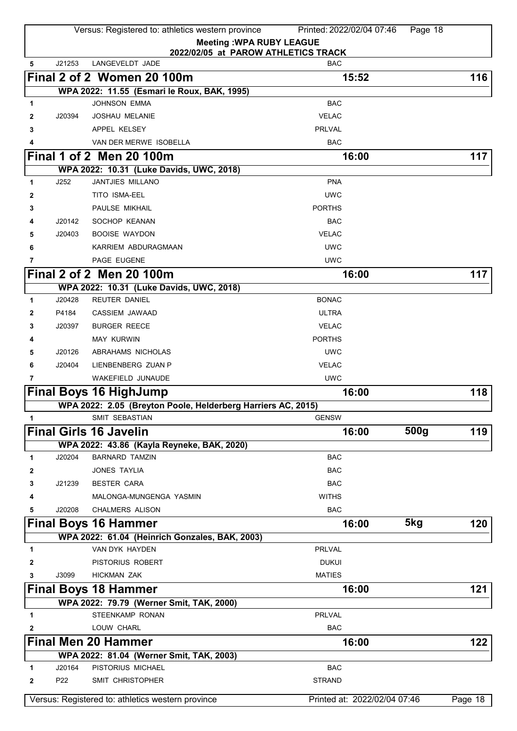|              |                 | Versus: Registered to: athletics western province            | Printed: 2022/02/04 07:46    | Page 18          |         |
|--------------|-----------------|--------------------------------------------------------------|------------------------------|------------------|---------|
|              |                 | <b>Meeting: WPA RUBY LEAGUE</b>                              |                              |                  |         |
|              |                 | 2022/02/05 at PAROW ATHLETICS TRACK                          |                              |                  |         |
| 5            | J21253          | LANGEVELDT JADE                                              | <b>BAC</b>                   |                  |         |
|              |                 | Final 2 of 2 Women 20 100m                                   | 15:52                        |                  | 116     |
|              |                 | WPA 2022: 11.55 (Esmari le Roux, BAK, 1995)                  |                              |                  |         |
| 1            |                 | <b>JOHNSON EMMA</b>                                          | <b>BAC</b>                   |                  |         |
| 2            | J20394          | <b>JOSHAU MELANIE</b>                                        | <b>VELAC</b>                 |                  |         |
| 3            |                 | APPEL KELSEY                                                 | <b>PRLVAL</b>                |                  |         |
| 4            |                 | VAN DER MERWE ISOBELLA                                       | <b>BAC</b>                   |                  |         |
|              |                 | <b>Final 1 of 2 Men 20 100m</b>                              | 16:00                        |                  | 117     |
|              |                 | WPA 2022: 10.31 (Luke Davids, UWC, 2018)                     |                              |                  |         |
| $\mathbf{1}$ | J252            | <b>JANTJIES MILLANO</b>                                      | <b>PNA</b>                   |                  |         |
| 2            |                 | TITO ISMA-EEL                                                | <b>UWC</b>                   |                  |         |
| 3            |                 | PAULSE MIKHAIL                                               | <b>PORTHS</b>                |                  |         |
| 4            | J20142          | SOCHOP KEANAN                                                | <b>BAC</b>                   |                  |         |
| 5            | J20403          | <b>BOOISE WAYDON</b>                                         | <b>VELAC</b>                 |                  |         |
| 6            |                 | KARRIEM ABDURAGMAAN                                          | <b>UWC</b>                   |                  |         |
| 7            |                 | PAGE EUGENE                                                  | <b>UWC</b>                   |                  |         |
|              |                 | Final 2 of 2 Men 20 100m                                     | 16:00                        |                  | 117     |
|              |                 | WPA 2022: 10.31 (Luke Davids, UWC, 2018)                     |                              |                  |         |
| 1            | J20428          | <b>REUTER DANIEL</b>                                         | <b>BONAC</b>                 |                  |         |
| 2            | P4184           | CASSIEM JAWAAD                                               | <b>ULTRA</b>                 |                  |         |
| 3            | J20397          | <b>BURGER REECE</b>                                          | <b>VELAC</b>                 |                  |         |
| 4            |                 | <b>MAY KURWIN</b>                                            | <b>PORTHS</b>                |                  |         |
| 5            | J20126          | ABRAHAMS NICHOLAS                                            | <b>UWC</b>                   |                  |         |
| 6            | J20404          | LIENBENBERG ZUAN P                                           | <b>VELAC</b>                 |                  |         |
| 7            |                 | WAKEFIELD JUNAUDE                                            | <b>UWC</b>                   |                  |         |
|              |                 | <b>Final Boys 16 HighJump</b>                                | 16:00                        |                  | 118     |
|              |                 | WPA 2022: 2.05 (Breyton Poole, Helderberg Harriers AC, 2015) |                              |                  |         |
| 1            |                 | SMIT SEBASTIAN                                               | <b>GENSW</b>                 |                  |         |
|              |                 | <b>Final Girls 16 Javelin</b>                                | 16:00                        | 500 <sub>g</sub> | 119     |
|              |                 | WPA 2022: 43.86 (Kayla Reyneke, BAK, 2020)                   |                              |                  |         |
| 1            | J20204          | <b>BARNARD TAMZIN</b>                                        | <b>BAC</b>                   |                  |         |
| 2            |                 | <b>JONES TAYLIA</b>                                          | <b>BAC</b>                   |                  |         |
| 3            | J21239          | <b>BESTER CARA</b>                                           | <b>BAC</b>                   |                  |         |
| 4            |                 | MALONGA-MUNGENGA YASMIN                                      | <b>WITHS</b>                 |                  |         |
| 5            | J20208          | <b>CHALMERS ALISON</b>                                       | <b>BAC</b>                   |                  |         |
|              |                 | <b>Final Boys 16 Hammer</b>                                  | 16:00                        | 5kg              | 120     |
|              |                 | WPA 2022: 61.04 (Heinrich Gonzales, BAK, 2003)               |                              |                  |         |
| 1            |                 | VAN DYK HAYDEN                                               | <b>PRLVAL</b>                |                  |         |
| 2            |                 | PISTORIUS ROBERT                                             | <b>DUKUI</b>                 |                  |         |
| 3            | J3099           | <b>HICKMAN ZAK</b>                                           | <b>MATIES</b>                |                  |         |
|              |                 | <b>Final Boys 18 Hammer</b>                                  | 16:00                        |                  | 121     |
|              |                 | WPA 2022: 79.79 (Werner Smit, TAK, 2000)                     |                              |                  |         |
| 1            |                 | STEENKAMP RONAN                                              | PRLVAL                       |                  |         |
| 2            |                 | LOUW CHARL                                                   | <b>BAC</b>                   |                  |         |
|              |                 | <b>Final Men 20 Hammer</b>                                   | 16:00                        |                  | 122     |
|              |                 | WPA 2022: 81.04 (Werner Smit, TAK, 2003)                     |                              |                  |         |
| 1            | J20164          | PISTORIUS MICHAEL                                            | <b>BAC</b>                   |                  |         |
| 2            | P <sub>22</sub> | SMIT CHRISTOPHER                                             | <b>STRAND</b>                |                  |         |
|              |                 |                                                              |                              |                  |         |
|              |                 | Versus: Registered to: athletics western province            | Printed at: 2022/02/04 07:46 |                  | Page 18 |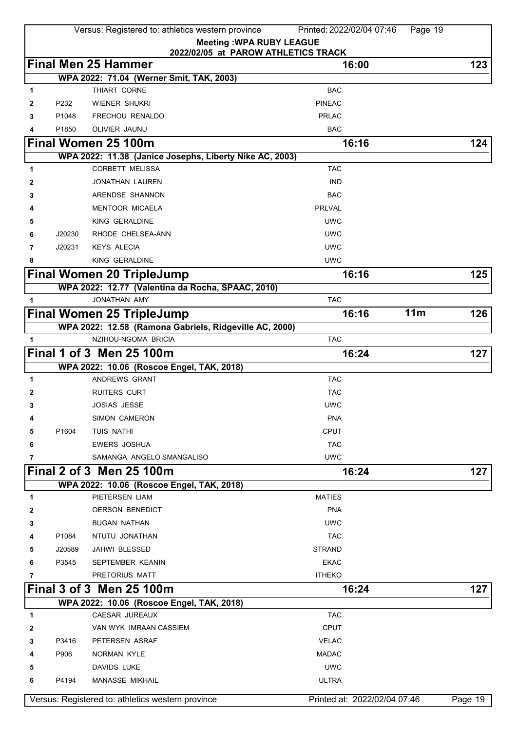|        |        | Versus: Registered to: athletics western province        | Printed: 2022/02/04 07:46<br>Page 19 |           |
|--------|--------|----------------------------------------------------------|--------------------------------------|-----------|
|        |        |                                                          | <b>Meeting: WPA RUBY LEAGUE</b>      |           |
|        |        |                                                          | 2022/02/05 at PAROW ATHLETICS TRACK  |           |
|        |        | <b>Final Men 25 Hammer</b>                               | 16:00                                | 123       |
|        |        | WPA 2022: 71.04 (Werner Smit, TAK, 2003)<br>THIART CORNE | <b>BAC</b>                           |           |
| 1<br>2 | P232   | WIENER SHUKRI                                            | <b>PINEAC</b>                        |           |
| 3      | P1048  | FRECHOU RENALDO                                          | <b>PRLAC</b>                         |           |
| 4      | P1850  | OLIVIER JAUNU                                            | <b>BAC</b>                           |           |
|        |        | Final Women 25 100m                                      | 16:16                                | 124       |
|        |        | WPA 2022: 11.38 (Janice Josephs, Liberty Nike AC, 2003)  |                                      |           |
| 1      |        | <b>CORBETT MELISSA</b>                                   | <b>TAC</b>                           |           |
| 2      |        | JONATHAN LAUREN                                          | <b>IND</b>                           |           |
| 3      |        | ARENDSE SHANNON                                          | <b>BAC</b>                           |           |
|        |        | <b>MENTOOR MICAELA</b>                                   | <b>PRLVAL</b>                        |           |
| 5      |        | KING GERALDINE                                           | <b>UWC</b>                           |           |
| 6      | J20230 | RHODE CHELSEA-ANN                                        | <b>UWC</b>                           |           |
| 7      | J20231 | <b>KEYS ALECIA</b>                                       | <b>UWC</b>                           |           |
| 8      |        | KING GERALDINE                                           | <b>UWC</b>                           |           |
|        |        | <b>Final Women 20 TripleJump</b>                         | 16:16                                | 125       |
|        |        | WPA 2022: 12.77 (Valentina da Rocha, SPAAC, 2010)        |                                      |           |
| 1      |        | JONATHAN AMY                                             | <b>TAC</b>                           |           |
|        |        | <b>Final Women 25 TripleJump</b>                         | 11m<br>16:16                         | 126       |
|        |        | WPA 2022: 12.58 (Ramona Gabriels, Ridgeville AC, 2000)   |                                      |           |
| 1      |        | NZIHOU-NGOMA BRICIA                                      | <b>TAC</b>                           |           |
|        |        | <b>Final 1 of 3 Men 25 100m</b>                          | 16:24                                | 127       |
|        |        | WPA 2022: 10.06 (Roscoe Engel, TAK, 2018)                |                                      |           |
| 1      |        | ANDREWS GRANT                                            | <b>TAC</b>                           |           |
| 2      |        | <b>RUITERS CURT</b>                                      | <b>TAC</b>                           |           |
| 3      |        | <b>JOSIAS JESSE</b>                                      | <b>UWC</b>                           |           |
| 4      |        | SIMON CAMERON                                            | <b>PNA</b>                           |           |
| 5      | P1604  | TUIS NATHI                                               | <b>CPUT</b>                          |           |
| 6      |        | <b>EWERS JOSHUA</b>                                      | <b>TAC</b>                           |           |
| 7      |        | SAMANGA ANGELO SMANGALISO                                | <b>UWC</b>                           |           |
|        |        | Final 2 of 3 Men 25 100m                                 | 16:24                                | 127       |
|        |        | WPA 2022: 10.06 (Roscoe Engel, TAK, 2018)                |                                      |           |
| 1      |        | PIETERSEN LIAM                                           | <b>MATIES</b>                        |           |
| 2      |        | <b>OERSON BENEDICT</b>                                   | <b>PNA</b>                           |           |
| 3      |        | <b>BUGAN NATHAN</b>                                      | <b>UWC</b>                           |           |
|        | P1084  | NTUTU JONATHAN                                           | <b>TAC</b>                           |           |
| 5      | J20589 | JAHWI BLESSED                                            | <b>STRAND</b>                        |           |
| 6      | P3545  | SEPTEMBER KEANIN                                         | <b>EKAC</b>                          |           |
| 7      |        | PRETORIUS MATT                                           | <b>ITHEKO</b>                        |           |
|        |        | <b>Final 3 of 3 Men 25 100m</b>                          | 16:24                                | 127       |
|        |        | WPA 2022: 10.06 (Roscoe Engel, TAK, 2018)                |                                      |           |
| 1      |        | CAESAR JUREAUX                                           | <b>TAC</b>                           |           |
| 2      |        | VAN WYK IMRAAN CASSIEM                                   | <b>CPUT</b>                          |           |
| 3      | P3416  | PETERSEN ASRAF                                           | <b>VELAC</b>                         |           |
| 4      | P906   | NORMAN KYLE                                              | <b>MADAC</b>                         |           |
| 5      |        | <b>DAVIDS LUKE</b>                                       | <b>UWC</b>                           |           |
| 6      | P4194  | <b>MANASSE MIKHAIL</b>                                   | <b>ULTRA</b>                         |           |
|        |        |                                                          | Printed at: 2022/02/04 07:46         |           |
|        |        | Versus: Registered to: athletics western province        |                                      | Page $19$ |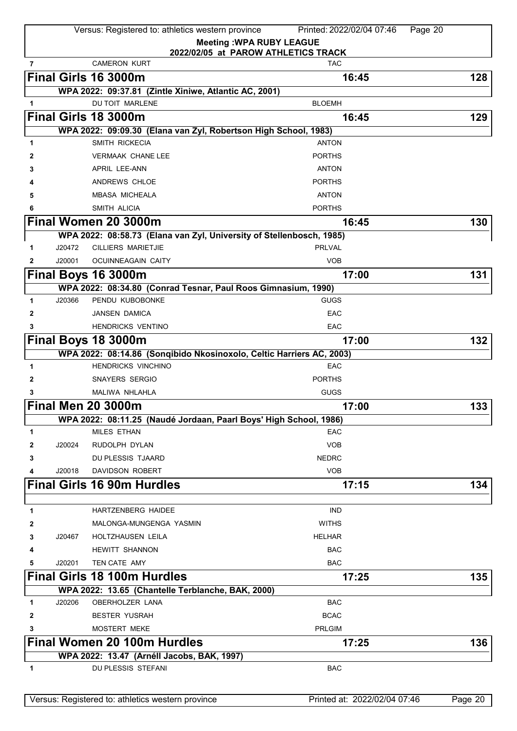|                        | Versus: Registered to: athletics western province                    | Printed: 2022/02/04 07:46<br>Page 20                                   |         |
|------------------------|----------------------------------------------------------------------|------------------------------------------------------------------------|---------|
|                        |                                                                      | <b>Meeting: WPA RUBY LEAGUE</b><br>2022/02/05 at PAROW ATHLETICS TRACK |         |
| $\overline{7}$         | <b>CAMERON KURT</b>                                                  | <b>TAC</b>                                                             |         |
|                        | Final Girls 16 3000m                                                 | 16:45                                                                  | 128     |
|                        | WPA 2022: 09:37.81 (Zintle Xiniwe, Atlantic AC, 2001)                |                                                                        |         |
| 1                      | DU TOIT MARLENE                                                      | <b>BLOEMH</b>                                                          |         |
|                        | Final Girls 18 3000m                                                 | 16:45                                                                  | 129     |
|                        | WPA 2022: 09:09.30 (Elana van Zyl, Robertson High School, 1983)      |                                                                        |         |
| 1                      | SMITH RICKECIA                                                       | <b>ANTON</b>                                                           |         |
| 2                      | <b>VERMAAK CHANE LEE</b>                                             | <b>PORTHS</b>                                                          |         |
|                        | <b>APRIL LEE-ANN</b>                                                 | <b>ANTON</b>                                                           |         |
|                        | ANDREWS CHLOE                                                        | <b>PORTHS</b>                                                          |         |
| 5                      | <b>MBASA MICHEALA</b>                                                | <b>ANTON</b>                                                           |         |
|                        | SMITH ALICIA                                                         | <b>PORTHS</b>                                                          |         |
|                        | Final Women 20 3000m                                                 | 16:45                                                                  | 130     |
|                        | WPA 2022: 08:58.73 (Elana van Zyl, University of Stellenbosch, 1985) |                                                                        |         |
| J20472<br>1            | <b>CILLIERS MARIETJIE</b>                                            | <b>PRLVAL</b>                                                          |         |
| J20001<br>$\mathbf{2}$ | OCUINNEAGAIN CAITY                                                   | <b>VOB</b>                                                             |         |
|                        | Final Boys 16 3000m                                                  | 17:00                                                                  | 131     |
|                        | WPA 2022: 08:34.80 (Conrad Tesnar, Paul Roos Gimnasium, 1990)        |                                                                        |         |
| J20366<br>1            | PENDU KUBOBONKE                                                      | <b>GUGS</b>                                                            |         |
| 2                      | <b>JANSEN DAMICA</b>                                                 | EAC                                                                    |         |
|                        | <b>HENDRICKS VENTINO</b>                                             | EAC                                                                    |         |
|                        | Final Boys 18 3000m                                                  | 17:00                                                                  | 132     |
|                        | WPA 2022: 08:14.86 (Sonqibido Nkosinoxolo, Celtic Harriers AC, 2003) |                                                                        |         |
| 1                      | <b>HENDRICKS VINCHINO</b>                                            | EAC                                                                    |         |
| 2                      | <b>SNAYERS SERGIO</b>                                                | <b>PORTHS</b>                                                          |         |
| 3                      | MALIWA NHLAHLA                                                       | <b>GUGS</b>                                                            |         |
|                        | <b>Final Men 20 3000m</b>                                            | 17:00                                                                  | 133     |
|                        | WPA 2022: 08:11.25 (Naudé Jordaan, Paarl Boys' High School, 1986)    |                                                                        |         |
| 1                      | <b>MILES ETHAN</b>                                                   | <b>EAC</b>                                                             |         |
| J20024<br>2            | RUDOLPH DYLAN                                                        | <b>VOB</b>                                                             |         |
| 3                      | DU PLESSIS TJAARD                                                    | <b>NEDRC</b>                                                           |         |
| J20018<br>4            | DAVIDSON ROBERT                                                      | <b>VOB</b>                                                             |         |
|                        | <b>Final Girls 16 90m Hurdles</b>                                    |                                                                        |         |
|                        |                                                                      | 17:15                                                                  | 134     |
| 1                      | <b>HARTZENBERG HAIDEE</b>                                            | <b>IND</b>                                                             |         |
| 2                      | MALONGA-MUNGENGA YASMIN                                              | <b>WITHS</b>                                                           |         |
| J20467                 | HOLTZHAUSEN LEILA                                                    | <b>HELHAR</b>                                                          |         |
| 3                      | <b>HEWITT SHANNON</b>                                                | <b>BAC</b>                                                             |         |
| 4                      | TEN CATE AMY                                                         | <b>BAC</b>                                                             |         |
| J20201<br>5            |                                                                      |                                                                        |         |
|                        | <b>Final Girls 18 100m Hurdles</b>                                   | 17:25                                                                  | 135     |
|                        | WPA 2022: 13.65 (Chantelle Terblanche, BAK, 2000)                    |                                                                        |         |
| J20206<br>1            | <b>OBERHOLZER LANA</b>                                               | <b>BAC</b>                                                             |         |
| 2                      | <b>BESTER YUSRAH</b>                                                 | <b>BCAC</b>                                                            |         |
| 3                      | <b>MOSTERT MEKE</b>                                                  | <b>PRLGIM</b>                                                          |         |
|                        | Final Women 20 100m Hurdles                                          | 17:25                                                                  | 136     |
|                        | WPA 2022: 13.47 (Arnéll Jacobs, BAK, 1997)                           |                                                                        |         |
| 1                      | DU PLESSIS STEFANI                                                   | <b>BAC</b>                                                             |         |
|                        |                                                                      |                                                                        |         |
|                        | Versus: Registered to: athletics western province                    | Printed at: 2022/02/04 07:46                                           | Page 20 |